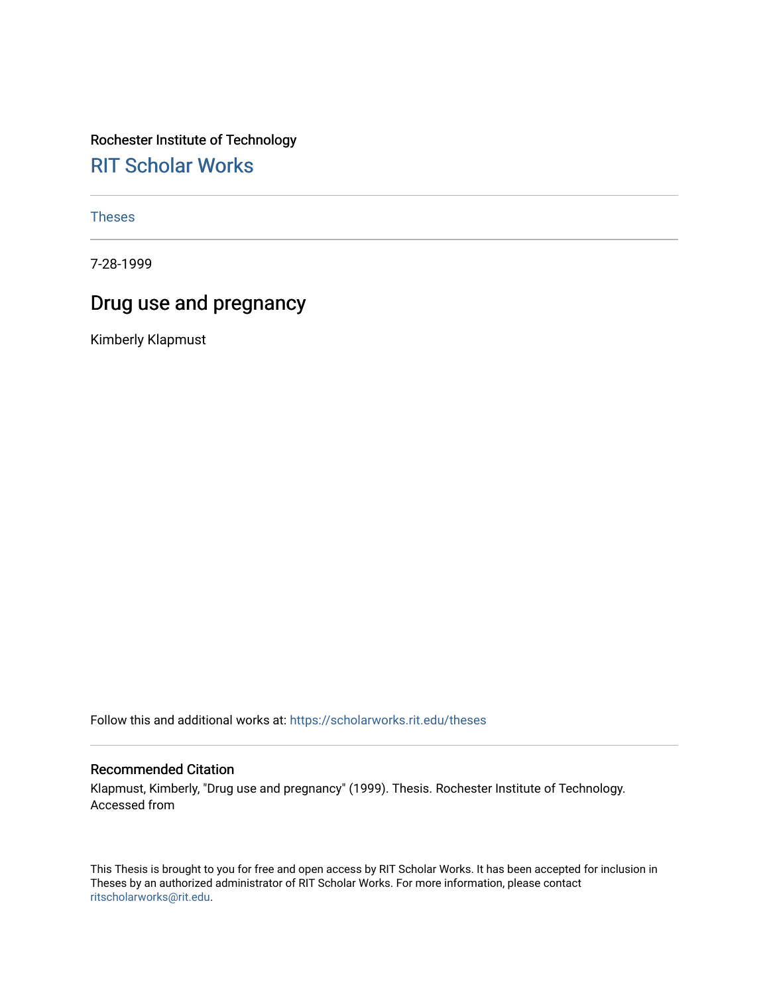Rochester Institute of Technology [RIT Scholar Works](https://scholarworks.rit.edu/)

[Theses](https://scholarworks.rit.edu/theses) 

7-28-1999

# Drug use and pregnancy

Kimberly Klapmust

Follow this and additional works at: [https://scholarworks.rit.edu/theses](https://scholarworks.rit.edu/theses?utm_source=scholarworks.rit.edu%2Ftheses%2F3599&utm_medium=PDF&utm_campaign=PDFCoverPages) 

### Recommended Citation

Klapmust, Kimberly, "Drug use and pregnancy" (1999). Thesis. Rochester Institute of Technology. Accessed from

This Thesis is brought to you for free and open access by RIT Scholar Works. It has been accepted for inclusion in Theses by an authorized administrator of RIT Scholar Works. For more information, please contact [ritscholarworks@rit.edu](mailto:ritscholarworks@rit.edu).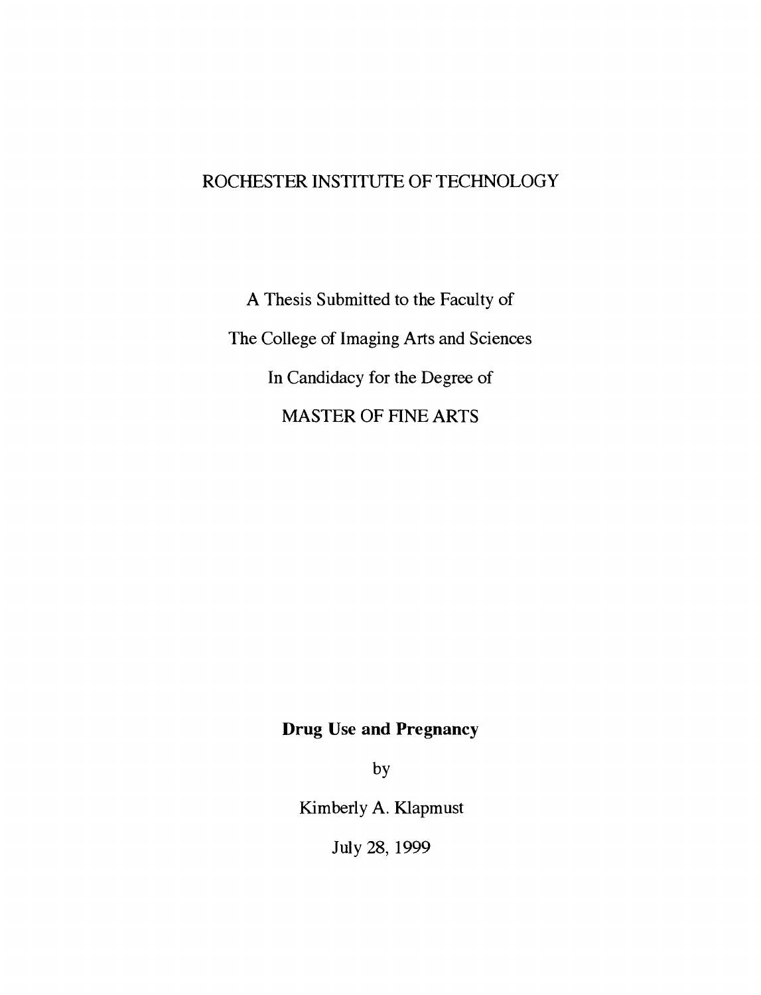## ROCHESTER INSTITUTE OF TECHNOLOGY

A Thesis Submitted to the Faculty of The College of Imaging Arts and Sciences In Candidacy for the Degree of MASTER OF FINE ARTS

## Drug Use and Pregnancy

by

Kimberly A. Klapmust

July 28, 1999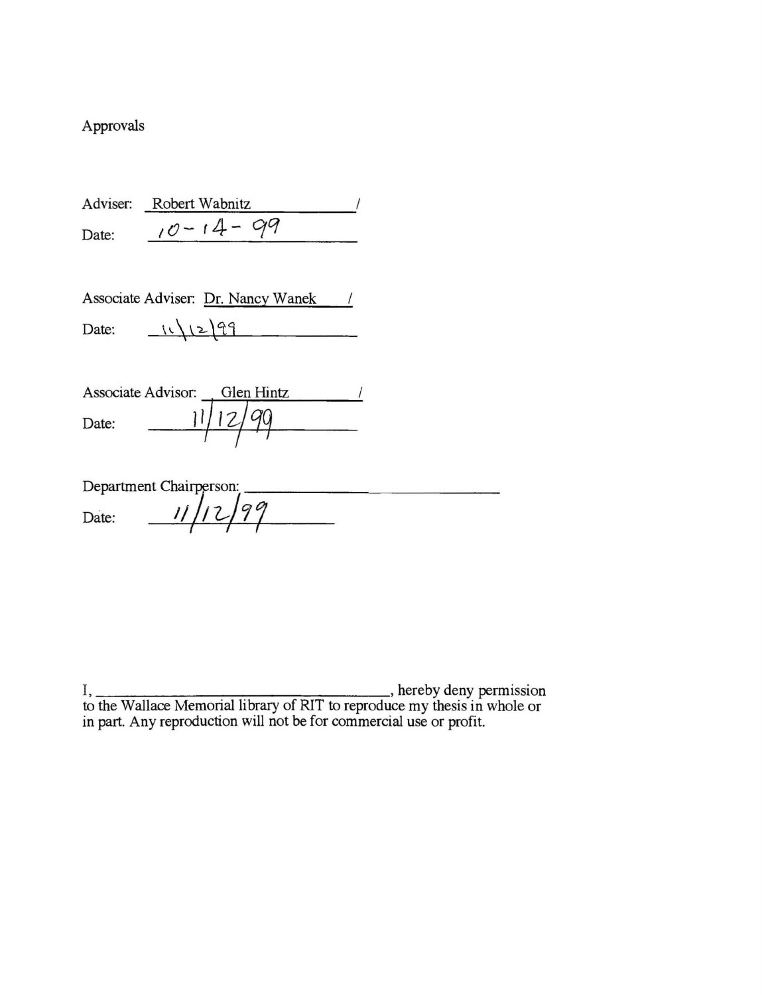## Approvals

| Adviser: | Robert Wabnitz                     |  |
|----------|------------------------------------|--|
| Date:    | $10 - 14 - 99$                     |  |
|          | Associate Adviser: Dr. Nancy Wanek |  |
| Date:    | 111299                             |  |
| Date:    | Associate Advisor: Glen Hintz      |  |
|          | Department Chairperson:            |  |
| Date:    |                                    |  |

I, , hereby deny permission to the Wallace Memorial library of RIT to reproduce my thesis in whole or in part. Any reproduction will not be for commercial use or profit.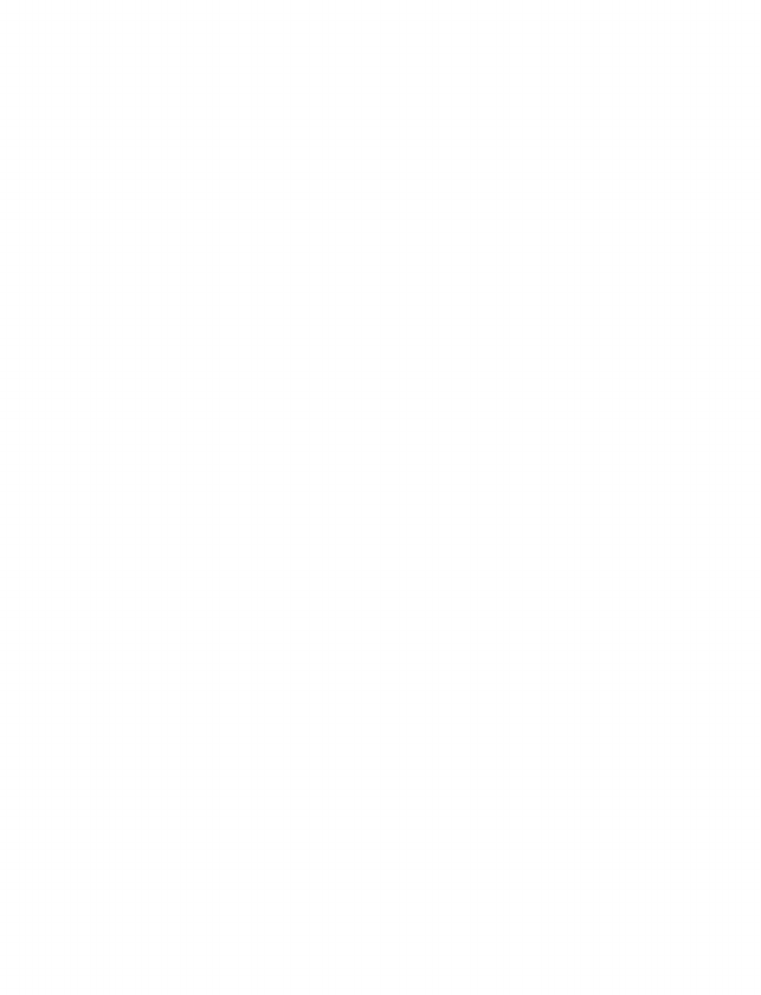## INTRODUCTION

Human development is a remarkably complex process whereby the union of two small cells can after a period of time give rise to a new human being, complete with vital organs, bones, muscles, nerves, blood vessels, and much more. Considering the intricacy of the developmental process, it is indeed miraculous that most babies are born healthy. Some children, however, are born with abnormalities. Environmental agents, such as drugs, are responsible for some of these abnormalities. Unfortunately, social and therapeutic drugs are widely used among pregnant women. Many commonly used drugs are known to disrupt the normal developmental process and cause a wide range of birth defects, learning disabilities, and behavioral problems.

This paper will briefly summarize the normal process of human development and the roles of the fetal membranes and the placenta. It will also explain how teratogens can interfere with normal development and cause a variety of congenital abnormalities. In addition, this paper will describe some of the known and suspected teratogenic drugs and their harmful effects on a developing embryo/fetus. Finally, the last portion of the paper will describe the making of the accompanying pamphlet: the conceptual, research, and technical processes behind the final product.

The pamphlet was made with the intention of educating expectant mothers about the harmful effects of drug use during pregnancy and lactation. The pamphlet focuses on risks associated with drugs such as alcohol, cigarettes, marijuana, heroin, and cocaine, as well as prescription and over-the-counter medications. Many women are not aware of the potential dangers associated with prenatal drug exposure, and some women, although aware of the potential adverse effects of using drugs during pregnancy, have conditions which require

 $\mathbf{1}$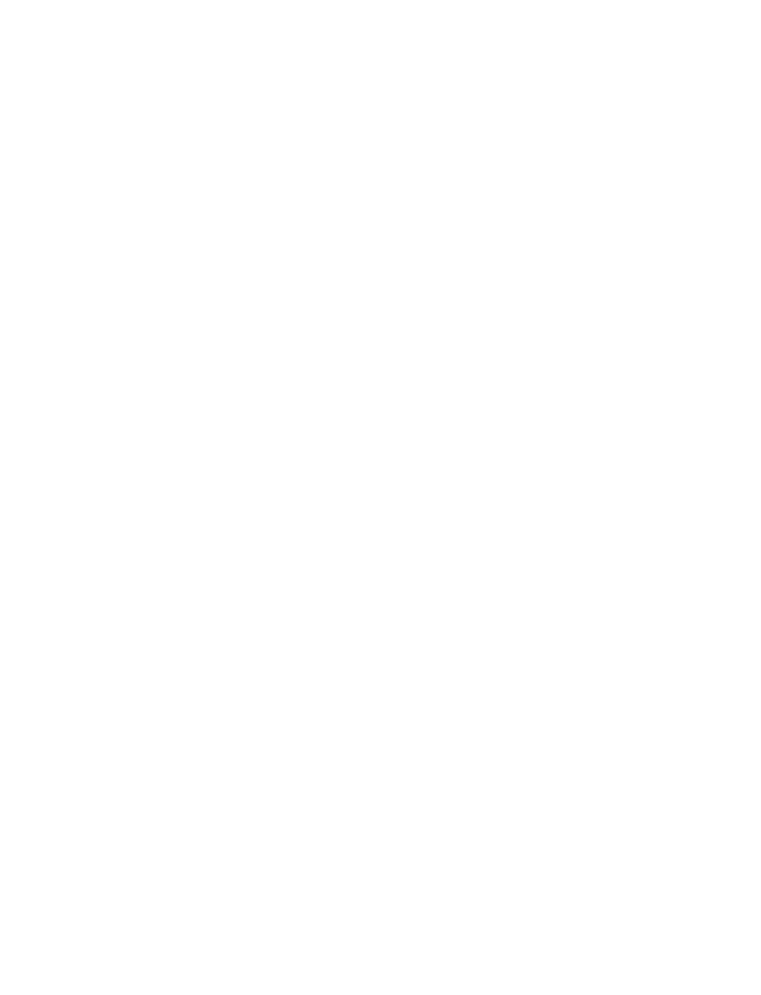medication. Women receiving treatment need to understand the importance of consulting their doctors upon becoming pregnant, or planning to become pregnant, to determine the safest course of action for both themselves and their babies. Also, it is important for women to be aware of the possible risks associated with breastfeeding while taking drugs. Many drugs a mother uses can be transmitted to her breastfed child. Breastfeeding is generally recommended because breastmilk contains numerous substances which defend a newborn against infections, and the act of breastfeeding helps create a bond between mother and child. However, maternal use of certain drugs may require the mother to stop nursing in order to minimize risk to the baby.

Further research in the field of teratology and increased public awareness regarding the harmful effects of drugs on a developing fetus promise to significantly reduce the rate of preventable birth defects.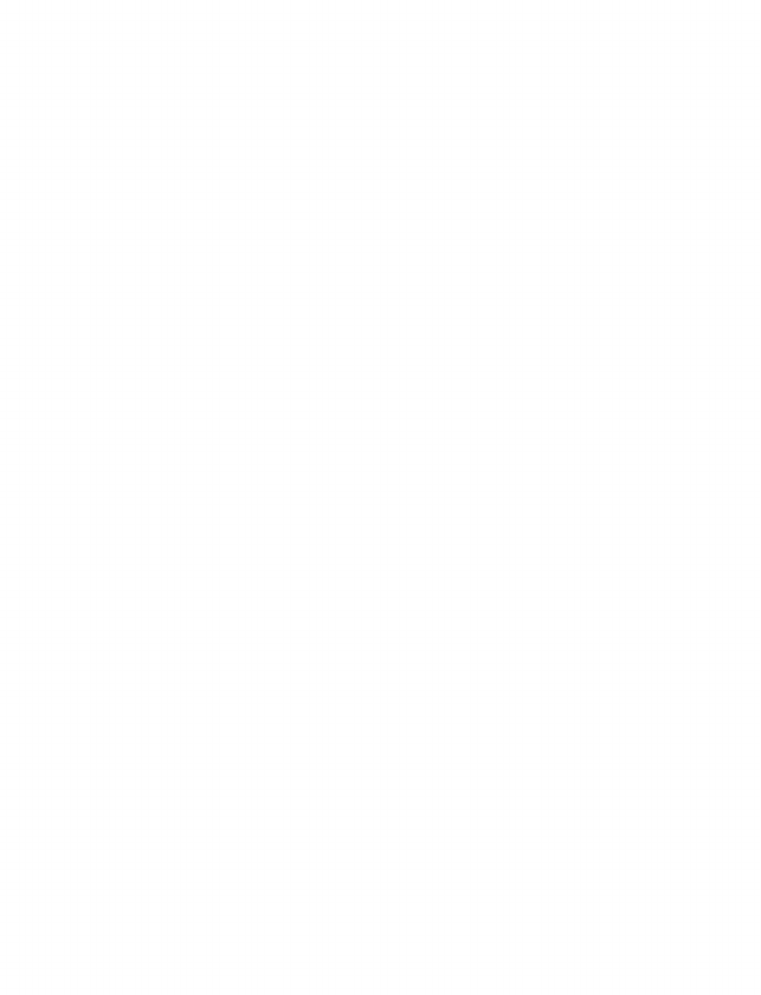## CHAPTER ONE

#### Human Development

Human development begins with conception, the fertilization of a female ovum by a male sperm. The resulting conceptus, called a zygote, repeatedly divides by mitosis into smaller sized daughter cells called blastomeres. The group of blastomeres, in the form of a tight ball, leaves the fallopian tube and proceeds to the uterus. When the ball consists of 12 or more daughter cells it is known as a morula. The cells of the morula continue to divide and a large fluid-filled cavity forms inside the ball. At this point the morula is called a blastocyst. The blastocyst' s outer cell layer is called the trophoblast and its internal cluster of cells is called the inner cell mass. The blastocyst, approximately seven days after fertilization, begins to implant itself into the endometrium of the uterus.

During the second week of development the blastocyst continues to embed itself further into the endometrium and the inner cell mass of the blastocyst arranges itself into two layers. These two layers, collectively called the bilaminar embryonic disc, will develop into the embryo, while the blastocyst's outer wall, the trophoblast, will form the fetal membranes.

During the third week, which marks the beginning of the six week embryonic period, the embryo develops rapidly and many important processes occur, including: the formation and development of the primitive streak, notochord, three germ layers, neural tube, neural crest, somites, embryonic body cavity, primitive cardiovascular system, and the development of the chorionic villi (the fetal component of the placenta). The three germ layers consist of the ectoderm, mesoderm, and endoderm, from which all the tissues and organs of the embryo are derived. Also, the proliferating trophoblast layer continues to invade the endometrium by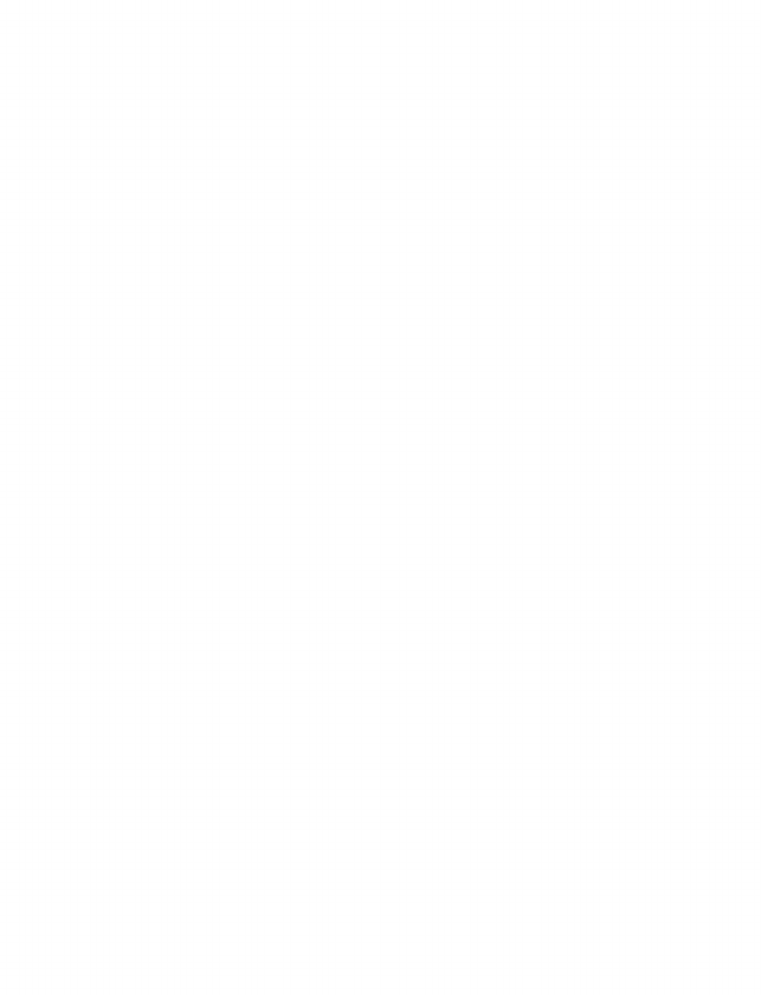eroding maternal capillaries and glands, and "communication" is formed between maternal blood and the embryo. This begins the important exchange of materials between mother and developing embryo.

By week four, the embryo grows very rapidly and begins to bend; a head and tail are formed. The three germ layers begin to differentiate into their respective tissues and organs, the developing heart bulges below the head, limb buds appear, and four pairs of branchial arches, destined to form certain structures of the face and neck, are visible.

At five weeks, the body of the embryo is growing fast. The brain develops quickly and causes the head to enlarge significantly. Also, the extremities are taking on a "paddleshape" and the primordial structures of the eyes and nose are visible.

During the sixth week, the upper and lower limbs become more defined and the hands develop digital rays which will later become fingers. The eyes become darker with the presence of retinal pigmentation, and the head and face continue to grow. The head of the embryo is still disproportionately large compared to the rest of the body due to the rapid development of the brain.

In the seventh week, increasing differentiation occurs within the limbs. The digital rays in the hands are interspersed by notches, and the rays in the feet are just beginning to appear. Also, at this time, the umbilical cord temporarily contains the embryo's herniated intestines. The eighth week of human development is the last week of the embryonic period. By the end of the eighth week all the primitive organ systems have formed and the embryo looks quite human. The tail, which first appeared at four weeks, is now gone. The fingers and toes of the embryo are separated, the neck and the eyelids begin to take form, and internal sex organs are present, while the genitals (indistinguishable in terms of male or female) continue to differentiate.

The fetal period, following the embryonic period, lasts from the beginning of the ninth week of human development through the thirty-eighth week. During this long period the embryo,

 $\overline{4}$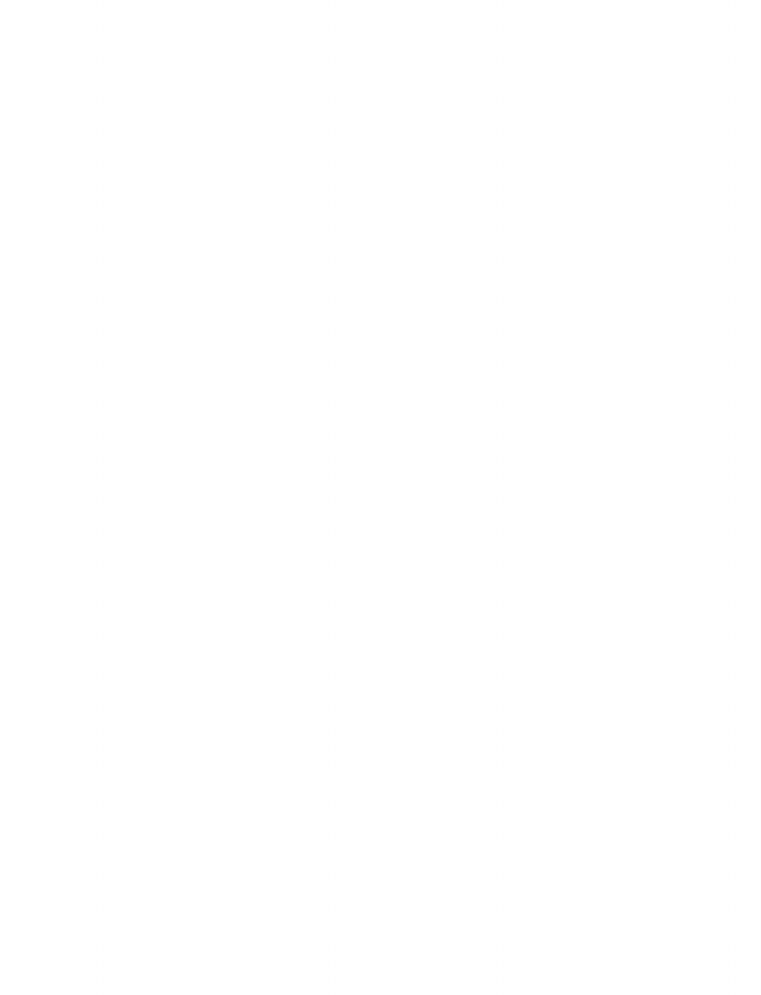now called a fetus, grows rapidly while its already present organs and tissues continue to develop and mature.

By the end of the third month of development, the fetal head is no longer so large in comparison to the body, differentiated genitalia reveal the sex of the fetus, lengthening of the upper and lower limbs occurs, the herniated intestines revert back into the abdomen, the fetus is capable of motion, the eyelids close, the eyes remain far apart from each other on the broad face, the skeleton and muscles are forming, the fetus produces urine, and the production of blood cells begins to occur in the fetal liver (and later in the spleen and bone marrow). The placenta, by this time, is very important in the exchange of nutrients and waste products between fetus and mother. The mother passes oxygen and nutrients to her baby via the placenta and fetal waste products and carbon dioxide are passed to the mother and then eliminated from her body.

During the fourth month, the face develops significantly. The eyes have moved more anteriorly on the face, fingernails begin to appear, lengthening of the lower limbs occurs, and the fetus continues to grow very rapidly.

By the fifth month the fetus has produced a layer of hair called lanugo and a protective waxy substance called vernix caseosa covers the body. The skin of the fetus is extremely thin and the underlying blood vessels are very visible. Hair appears on the head and eyebrows. Fetal growth begins to slow down, although significant weight gain is still necessary.

In the sixth month, the fetus begins to gain weight, but has yet to plump up. The fetal lungs are beginning to produce surfactant, fingernails are present, and the skin is wrinkled and translucent.

During the seventh month, the lungs have developed well enough for the fetus to have a chance at survival if born prematurely. The central nervous system has developed, so as to control body temperature and breathing. The eyes are open after weeks of being shut,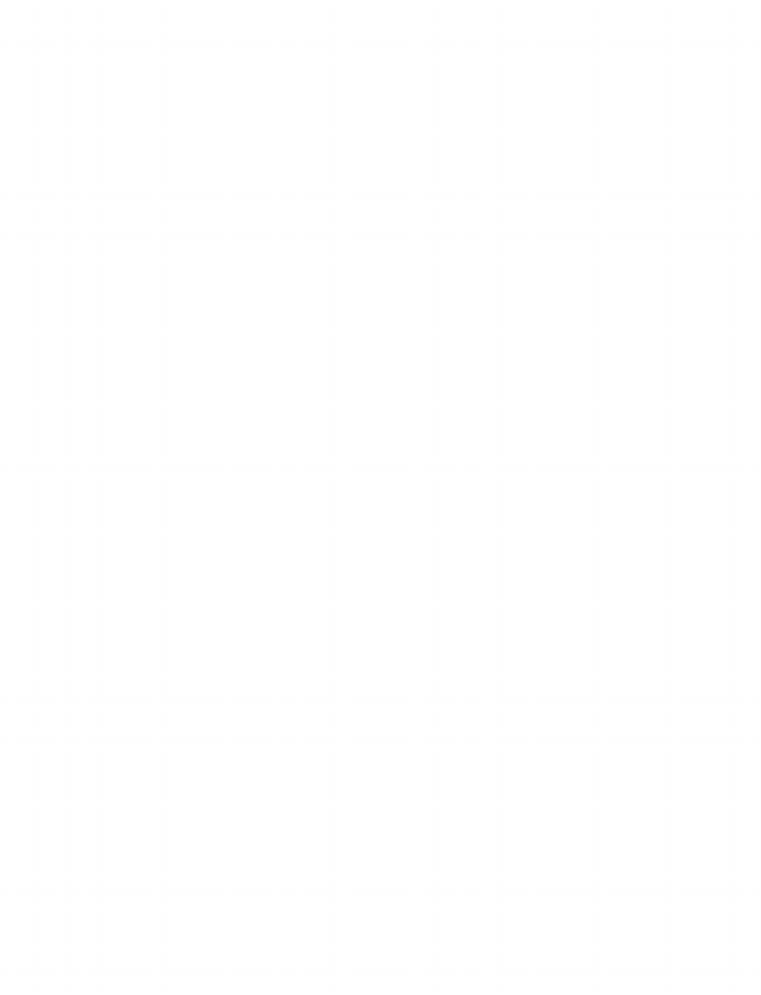toenails have appeared, and the body of the fetus has begun to form a protective layer of fat under the skin.

By the end of the eighth month, the body has filled out due to the body's increasing supply of fat, and the skin is smooth and pink in color. Normally, at this time, the fetus takes on a of fat, and the skin is smooth and pink in color. Normally, at this time, the fetus takes on a<br>head-down position in the mother's uterus, and will stay that way for the remainder of the pregnancy.

During this last month of development, the growth rate of the fetus slows down significantly. The amount of body fat continues to increase, most of the lanugo hair disappears, the fetus is now sensitive to light and dark, and the organs and bones have all formed (although the bones are still very soft and flexible). The chest and abdomen are large in size due to the major organs they house. By this time, the size ratio of fetal head to total body length is 1:4.

#### Fetal Membranes

Fetal or extraembryonic membranes also play an important role in human development. There are four fetal membranes: the chorion, amnion, allantois and yolk sac. The yolk sac and the allantois are the only two structures which will become part of the fetus. The chorion will form the fetal portion of the placenta. The chorionic sac houses the embryo, all the other fetal membranes, and is the site of chorionic villi formation. The amnion forms in the second week of development, differentiating from the cytotrophoblast cells. It protects and promotes the normal development of the embryo/fetus during pregnancy. The aminiotic sac is a fluid-filled membrane in which the baby floats freely, connected to the placenta only by the umbilical cord. The fluid within the amniotic sac comes from the mother as well as from the fetus. Part of the fetal contribution to the amniotic fluid is urine, some of which the fetus swallows and passes to the mother through the placenta for elimination. The amniotic fluid has many important functions including, cushioning the embryo, providing an environment with a stable temperature, allowing free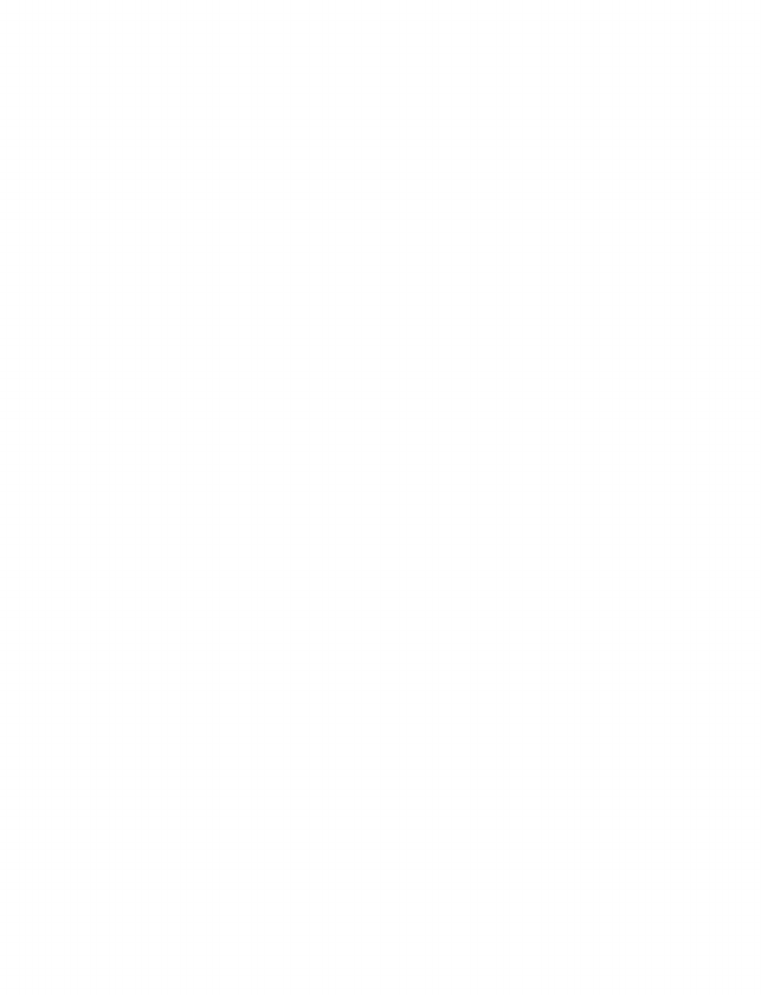movement, helping lung development, and keeping the baby safe from infection. The amniotic sac also forms the covering of the umbilical cord. The umbilical cord connects the fetus to the placenta. The cord contains two arteries and one vein which are embedded in a protective mucous tissue called Wharton' <sup>s</sup> jelly. The life-sustaining nutrients and supply of oxygen are transported from the placenta to the baby through the umbilical vein and the waste products generated by the child are eliminated via the two umbilical arteries. The cord generally is spiral in appearance because the umbilical vessels are longer than the cord that houses them.

The yolk sac and allantois are important sites of early blood and blood vessel formation, and thus important sources of nutrition for the embryo. The allantois is an outpouching of the early yolk sac into the connecting stalk. It connects the urinary bladder to the umbilical cord and its blood vessels will form the umbilical arteries and vein. The allantois becomes the urachus (fetal urinary canal) in the fetus and the median umbilical ligament in the adult. A portion of the yolk sac becomes integrated with the embryo and forms the primitive gut. The walls of the yolk sac and allantois have blood vessels which produce blood cells. This extraembryonic blood formation occurs for about two weeks until the fetus begins to produce blood in the liver. The blood vessels produced in the chorion, yolk sac, and connecting stalk link to those developing within the embryo and together they form the primitive cardiovascular system.

#### The Placenta

The placenta is an organ which is formed by mother and child. Although it does not form any part of the fetus, it does play a crucial role in human development. The fetal portion of the placenta is the villous chorion and the maternal portion is the decidua basalis. As the villous chorion grows and thickens and the decidua basalis recedes, the fetal component of the placenta eventually becomes larger than the maternal component

 $\overline{7}$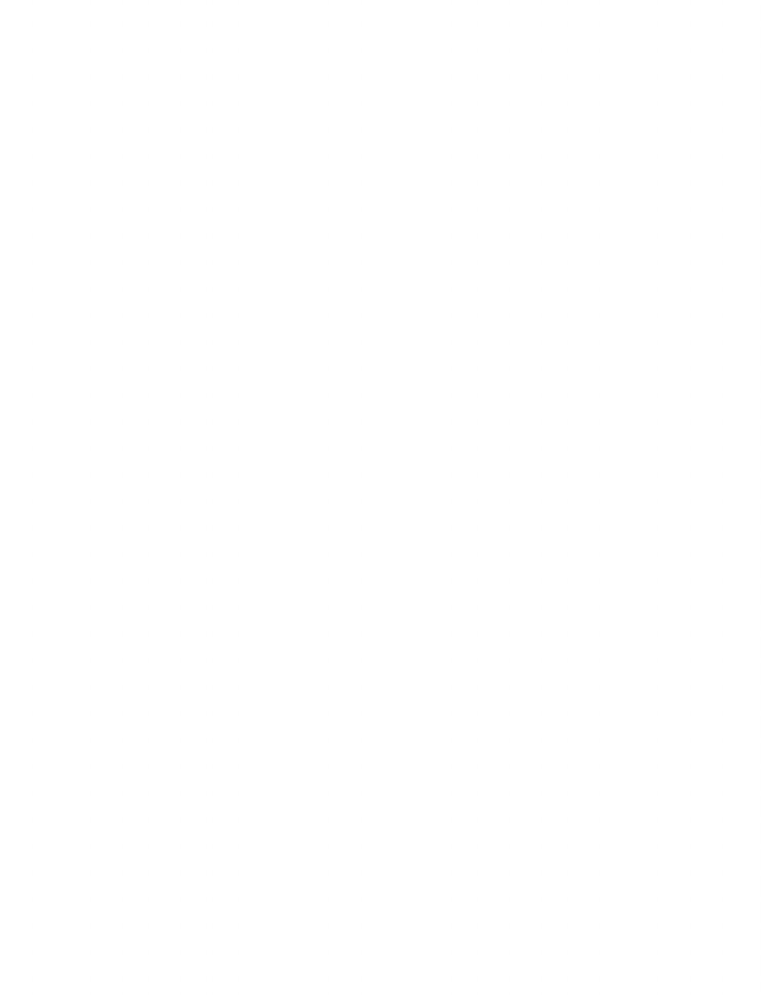The placenta begins to form soon after conception. Within the second week of development, as the blastocyst embeds itself into the uterus, a group of multinucleated trophoblast cells called the syncytiotrophoblast, invades the endometrium by eroding maternal tissues. Spaces called lacunae begin to form in the syncytiotrophoblast and they become filled with maternal blood and glandular secretions. The invasive synctiotrophoblast continues to form lacunae until the spaces become interconnected, making lacunae networks which will become the future intervillous spaces of the placenta

During the third week, the cells of the cytotrophoblast, the other part of the trophoblast, begin to layer themselves into cords and push their way into the syncytiotrophoblast. Together the cytotrophoblast cord and the surrounding syncytiotrophoblast form a pillar, which is called a primary chorionic villous. Later, mesenchymal cells push their way into the villous, forming a delicate connective tissue core, at which point the villous becomes a secondary chorionic villous. These secondary villi develop along the entire chorion. Once the secondary villi form blood vessels, which differentiated from the mesenchymal cells, they are called tertiary chorionic villi. These chorionic villi will branch out to maximize the amount of surface area used for the exchange of materials between mother and child. To ensure a firm anchoring of the villi, cytotrophoblast cells break through the tips of the outermost villi, multiplying and spreading to form an outer perimeter layer known as the cytotrophoblastic shell, which attaches itself to the endometrium. However, openings do exist in the cytotrophoblastic shell, and it is through these holes that maternal arteries and veins are able to receive and deliver blood to and from the intervillous spaces.

The chorionic villi become attached to the primitive cardiovascular system of the embryo by the development of blood vessels within the mesenchymal portion of the chorion and connecting stalk. Then the exchange of materials between fetus and mother begins. Maternal blood in the intervillous spaces bathes the chorionic villi, which take in oxygen and nourishment, sending them through the umbilical cord to the fetus. Fetal waste products and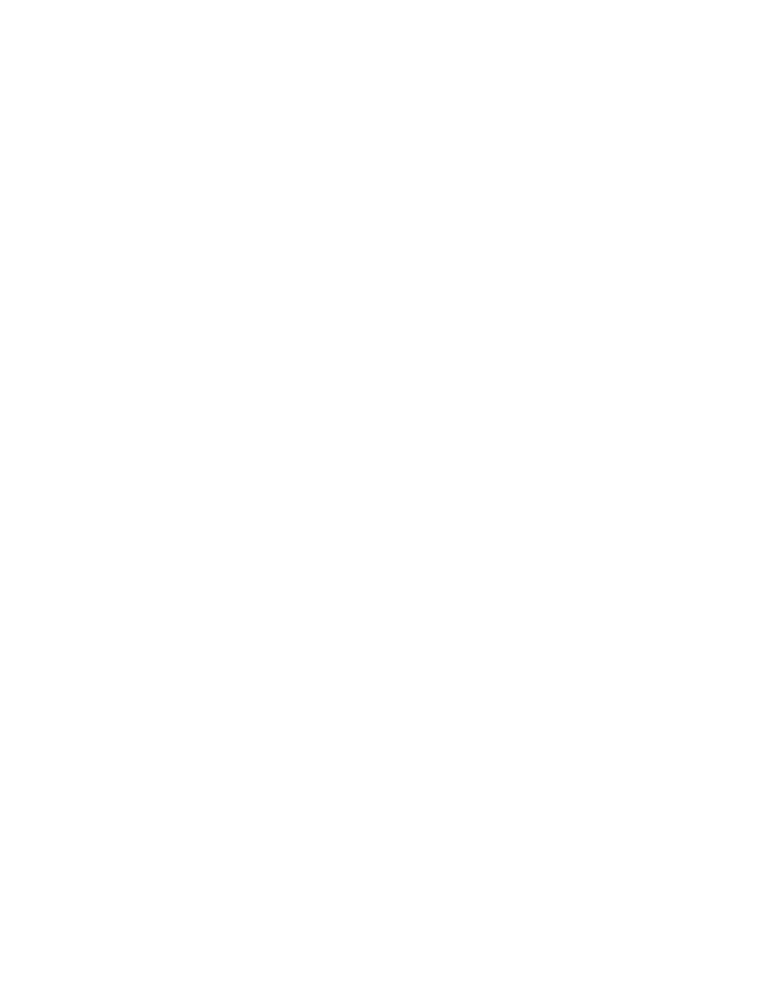carbon dioxide are passed back to the mother, so that they can be eliminated from her body through her urine. This life-supporting process continues until birth.

Although the early placenta has villi uniformly covering the entire surface of the chorion, by the third month the chorionic villi near the attachment of the umbilical cord begin to flourish and the villi located on the rest of the chorion disappear. The portion of the chorion with enlarged and abundant villi is known as the chorion frondosum, or villous chorion, and the bare section of the chorion is called the smooth chorion. After the villous chorion is formed, it continues to grow and thicken by the branching of the villi.

The maternal portion of the placenta, the decidua basalis, is the site to which the fetal portion of the placenta is attached. Decidua is the name given to the endometrium during pregnancy. There are three parts of the decidua: decidua basalis (the portion of the decidua lying directly under the villous chorion), decidua capsularis (the portion which covers the implanted conceptus), and the decidua parietalis (the portion which lines the wall of the uterus). The two components, the decidua basalis and the villous chorion, constitute the placenta

Blood from the endometrium passes through spiral arteries (the terminal branches of arteries supplying the endometrium) and enters the intervillous spaces. Although the arteries supplying the endometrium) and enters the intervillous spaces. Although the<br>mother's blood never comes in direct contact with fetal circulation, materials are exchanged. The placental membrane, (the wall of the villous, its connective-tissue core, and the endothelium of the villous capillary) is the thin tissue separating the two bloodstreams. Only by the processes of diffusion, active transport, and pinocytosis are materials transferred across the placental membrane. Harmful substances can permeate the membrane just as easily as the essential nutritional materials.

The placenta is a very complex organ with many important functions including: nutrition, respiration, excretion, selective straining, and synthesis. Early in pregnancy, the placenta synthesizes cholesterol, fatty acids, and glycogen which are used as nutrients and energy by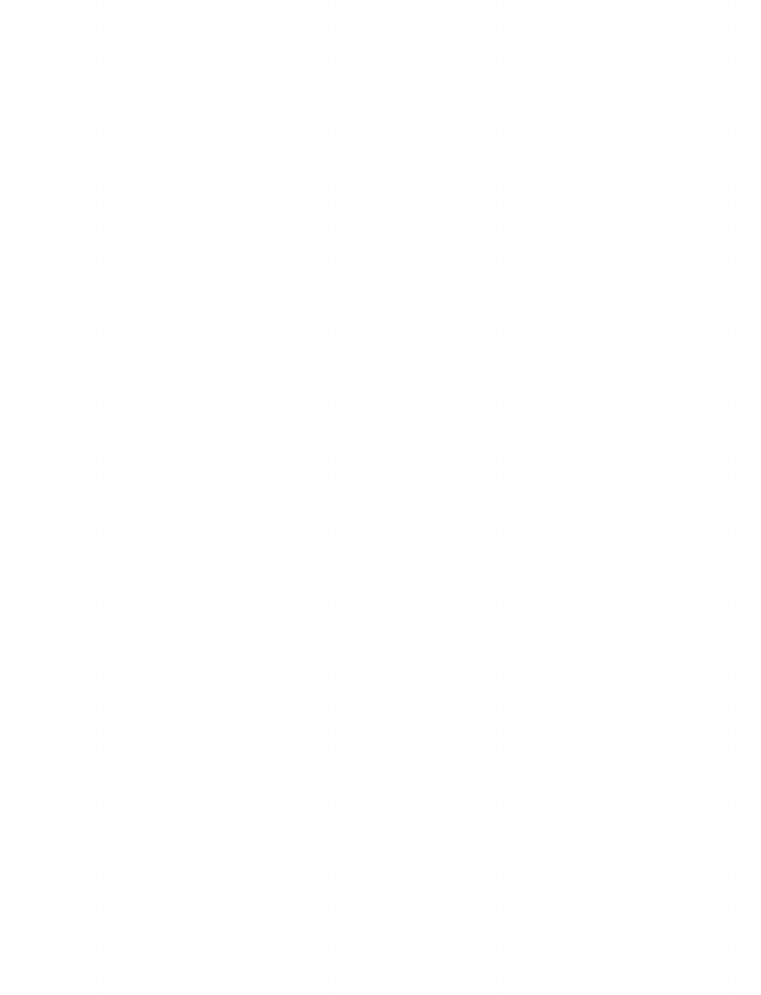the growing embryo. The placenta also produces hormones, including estrogens, progesterone, and protein hormones, which maintain pregnancy and support the growth of the embryo/fetus. In addition, the placenta has an extremely important role in the transfer of substances between mother and child. Oxygen passes through the placenta and umbilical cord and enters the bloodstream of the fetus. The oxygen-rich blood is then distributed to the growing organs, including the brain, heart, kidneys, and liver. The lungs at this time do not receive a large amount of oxygen, as one might expect, since they are not used for breathing until the baby is born. One could say that the placenta acts as the lungs for the fetus until birth. Nutrients, such as fatty acids, proteins, amino acids, water, glucose, electrolytes, vitamins, and minerals are also passed from the mother to the fetus via the placenta. Antibodies pass through as well, and can protect the developing fetus against disease. Going the other direction, the fetus passes waste products such as carbon dioxide, urea, uric acid, electrolytes, water, and bilirubin to the mother for disposal. It is essential for the growth and survival of the fetus that the mother excrete these waste products for the child during pregnancy. A build-up of these products would be very harmful to the fetus. Adequate blood flow through the placenta is very important to the normal development of the fetus. The reduction of normal blood flow, for whatever reason, could lead to low birth weight, mental and/or physical defects, or even the death of the fetus.

For a long time the placenta was believed to be a protective barrier for the fetus. It was thought that the placenta would keep all harmful substances from reaching the fetus while only allowing nutrients to pass through. But now we know that harmful materials, including drugs, viruses, bacteria, microorganisms, metals etc. can be passed from mother to child through the placenta. The transfer of one or more of these materials to a developing baby can cause a variety of abnormalities, including a wide range of birth defects, learning difficulties, and behavioral problems.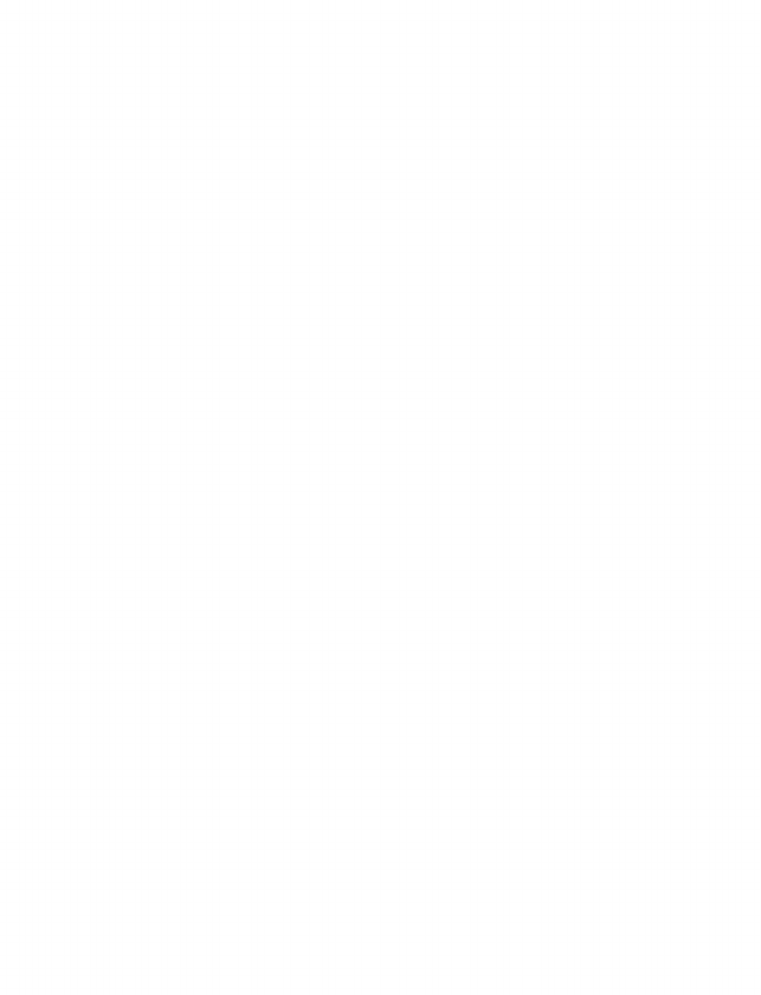- Bolane, Eloise. Life Unto Life: Fetal Growth and Development. Rochester: Childbirth Graphics, 1991.
- Gilbert, Stephen G. Pictorial Human Embryology. Seattle: University of Washington Press, 1989.
- Moore, Keith L., and T.V.N. Persaud. Before We Are Born: Essentials of Embryology and Birth Defects. Philadelphia: W.B. Saunders Company, 1993.
- Nilsson, Lennart. A Child is Born. New York: Delacorte Press, 1990.
- Young, Patrick. Drugs and Pregnancy. New York: Chelsea House Publishers, 1987.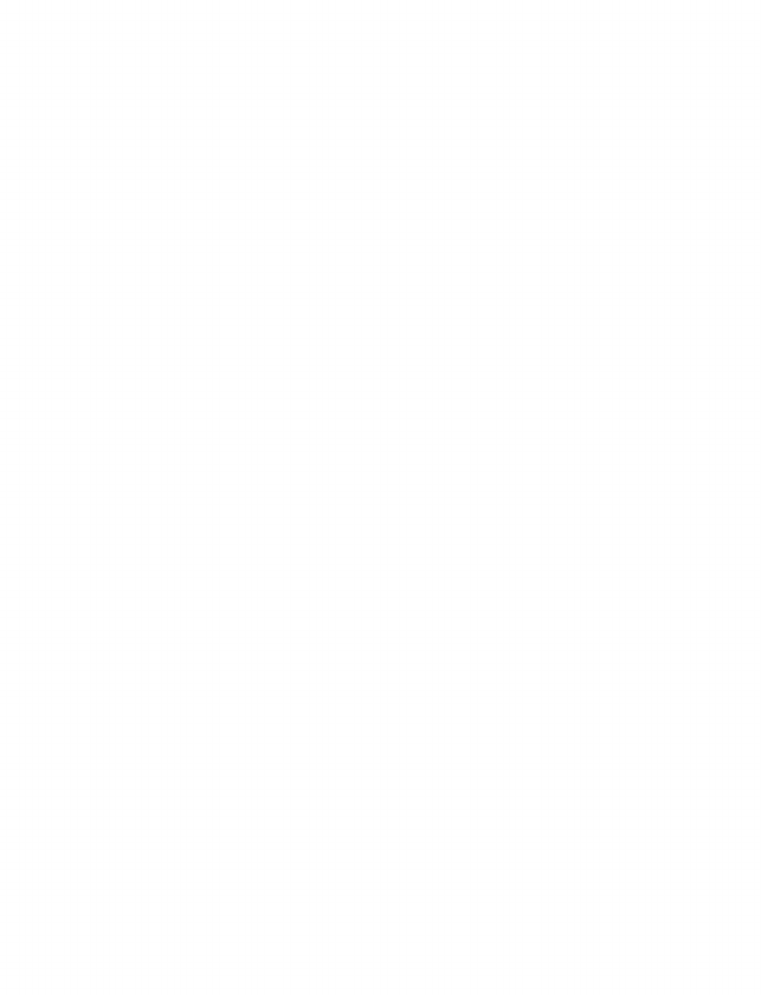### CHAPTER TWO

#### Teratogens

The causes of human birth defects are divided into three categories: unknown, genetic, and environmental. Unknown causes are responsible for the majority of defects, while genetic and environmental causes account for a relatively small portion of them. Genetic factors are responsible for most of the known causes of birth defects. Because human development is such <sup>a</sup> complicated process, there are many opportunities for "errors" to occur. Chromosomal abnormalities and mutant genes account for many of these errors. Environmental factors are also responsible for children with birth defects. Embryonic/fetal exposure to environmental agents including drugs, infections, chemicals, and radiation can interfere with normal development and produce congenital malformations as well as reduced mental capacity in children. Environmental agents such as these are called teratogens. "A teratogen is any environmental agent that permanently harms the developing fetus."<sup>1</sup> Teratogens alone are responsible for approximately 7-10 % of major congenital anomalies.<sup>2</sup> However, usually it is a combination of genetic and environmental factors that is responsible for many of the common birth defects.

Although the field of genetic engineering is rapidly progressing, it is fair to say that in general, we cannot prevent genetic abnormalities. However, abnormalities as a result of teratogenic exposure are potentially preventable. Embryonic/fetal exposure to teratogens, such as drugs for example, can cause stillbirths, miscarriages, congenital malformations, and

<sup>&</sup>lt;sup>1</sup> Elizabeth Conover, "Hazardous Exposures During Pregnancy," Journal of Obstetric, Gynecologic, and Neonatal Nursing 23, no.6 (July/August 1994): 524.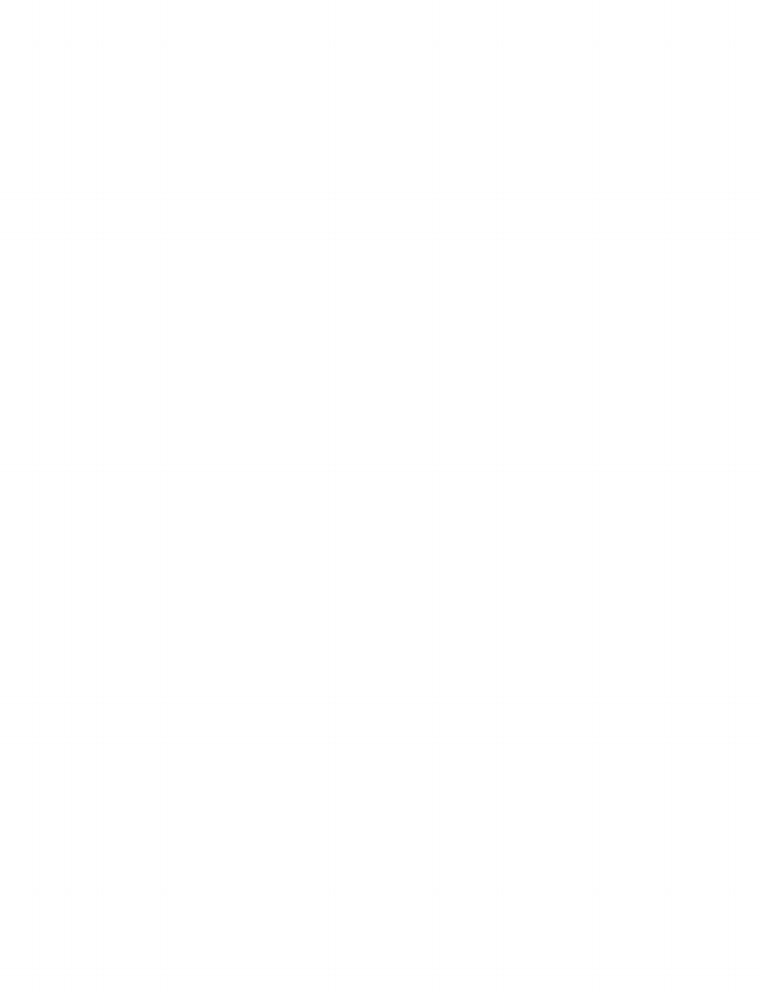mental retardation. The are a number of factors involved in determining whether a specific agent will cause a birth defect, including: the genetic susceptibility of the embryo/fetus to the agent, the dose and duration of the exposure, the characteristics of the agent, and the stage of pregnancy when exposure occurs. A substance causing anomalies in one baby may not cause harm to another. Also, the type of malformation can differ depending on the timing of exposure. Each of a child' <sup>s</sup> developing structures has a period of time when it is most vulnerable to terotegenic insults. A vulnerable, or critical period, is a time of rapid proliferation and differentiation of cells into the child' <sup>s</sup> developing organs and tissues. Disturbances during the critical period of a particular structure may cause damage to that structure.

During the first two weeks after conception, before the blastocyst has completed implanting During the first two weeks after conception, before the blastocyst has completed in<br>itself into the mother's endometrium, teratogenic exposure usually results in a lost pregnancy or, ironically, no harmful effects at all. Some believe that exposure during this time causes such severe damage that the conceptus fails to implant itself in the uterus and thus is eliminated from the mothers body. (A spontaneous miscarriage can easily go unnoticed since a woman's next monthly period is not yet late at this point). Others believe that because there is no communication between the circulatory systems of mother and child at this early stage in the pregnancy, potentially harmful teratogenic exposure is often avoided. Yet, others suspect that teratogenic exposure damages only a few cells of the conceptus which are able to repair themselves, thereby not causing any permanent defects in the child.

During the embryonic period, rapid cell growth, cell migration, and cell differentiation occur. As organs and limbs are forming, the fetus is extremely sensitive to teratogens. Harmful substances in the mother's system can easily enter the fetus' bloodstream through the

 $^2$  Keith L. Moore and T.V.N. Persaud, *Before We Are Born: Essentials of Embryology and Birth* Defects (Philadelphia: W.B. Saunders Company, 1993), 118.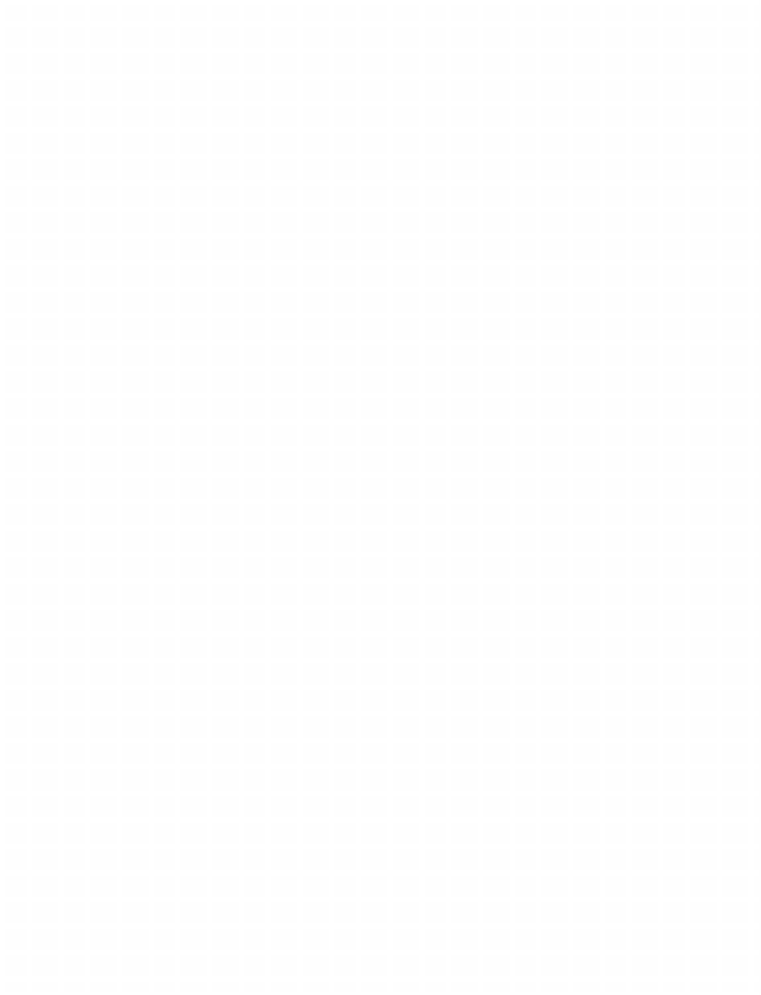placenta. If teratogenic insults to the embryo occur at this critical time, there is a strong chance that the child will have or will develop major physical and/or functional defects. Because each developing organ has its own specific critical period, teratogens have windows of opportunity to cause specific types of birth defects. For example, the most vulnerable time for the heart is the third through the sixth week after conception. Exposure of the embryo to certain teratogens at this time could cause major cardiac defects.

Although most critical periods for the different developing organs and structures occur during the embryonic period, the fetus is susceptible to damage throughout the pregnancy. Since the fetal period is a time for rapid growth and maturation of organs, interruption of development during this time can result in growth retardation and minor morphological and functional abnormalities. There are even a few organs which extend their critical periods into the fetal stage of development. The central nervous system, for example, continues to rapidly grow through the sixteenth week. During this long period of time it is very vulnerable to teratogenic insults. Children who are exposed to certain harmful materials during this time can be severely retarded or show signs of learning disabilities and/or behavioral problems in childhood.

Although it is important to understand the effects of various infectious agents, maternal disease, mechanical influences, chemicals, and radiation on a developing embryo/fetus, this paper will not focus on these types of environmental teratogens. Rather, it will describe the deleterious effects of commonly used teratogenic drugs including, alcohol, tobacco, marijuana, heroin, cocaine, as well as some prescription and non-prescription medications during pregnancy.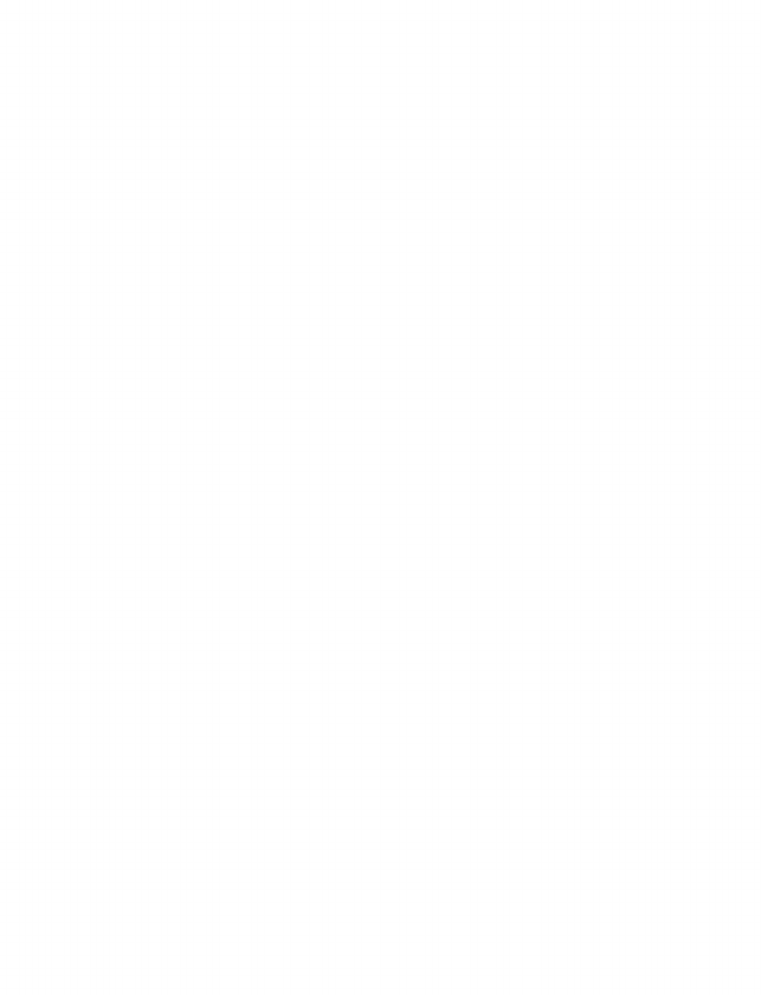## References

- Conover, Elizabeth. Hazardous Exposures During Pregnancy. Journal of Obstetric, Gynecologic, and Neonatal Nursing 23, no. <sup>6</sup> (July/August 1994): 524- 532.
- Moore, Keith L., and T.V.N. Persaud. Before We Are Born: Essentials of Embryology and Birth Defects. Philadelphia: W.B. Saunders Company, 1993.
- Pletsch, Pamela. Birth Defect Prevention: Nursing Intervention. Journal of Obstetric, Gynecologic, and Neonatal Nursing 16, no. 6 (December 1990): 482-488.
- Seaver, Laurie H. and H. Eugene Hoyme. Teratology in Pediatric Practice. The Pediatric Clinics of North America 39, no. 1 (February 1992): 111-131.
- Young, Patrick. Drugs and Pregnancy. New York: Chelsea House Publishers, 1987.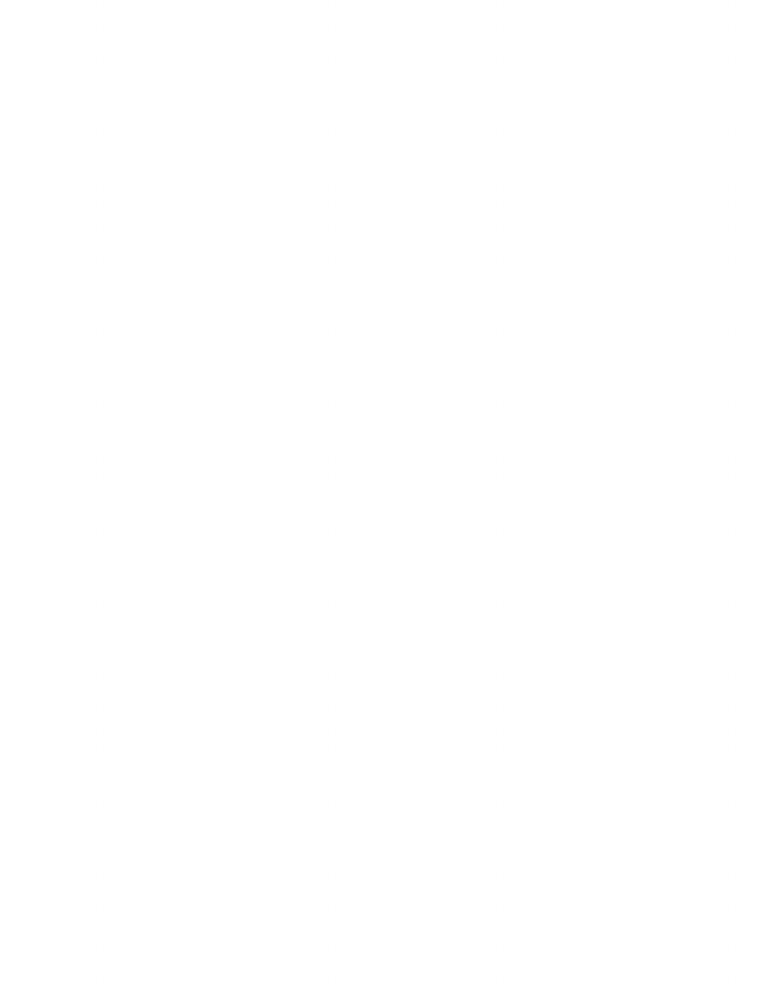#### CHAPTER THREE

Many women take drugs during pregnancy. A drug is defined as "Any substance that when taken into the living organism may modify one or more of its functions."<sup>3</sup> Alcohol, tobacco, marijuana heroin, cocaine, prescription medications, as well as over-the-counter medications are examples of different types of drugs. An expectant mother who is snorting cocaine or even just swallowing a few aspirin can cause harm to her baby.

When a drug is taken, the body absorbs it and then tries to eliminate it. Water-soluble drugs are eliminated by the kidneys and excreted in urine. Fat-soluble drugs are first broken down into metabolites, primarily by enzymes in the liver, in order to become water-soluble, so they too can be eliminated in urine. Usually the metabolites are less dangerous to the body than the drug itself; however, there are some drugs that become more harmful when broken down. Thalidomide is one of these drugs. Commonly used as a sedative in the 1960's, it caused severe limb deformities and cardiac defects in children whose mothers had taken the drug during pregnancy. Drugs taken by an expectant mother enter her bloodstream and pass to the embryo/fetus through the placenta. The unborn child's body then metabolizes the drug, a process which takes longer in the embryo/fetus (whose organs are just developing) than in the mother. Drugs can also remain in the amniotic fluid for quite some time, increasing fetal exposure to dangerous substances. Some drugs can have adverse effects on the placenta, indirectly harming the child.

<sup>&</sup>lt;sup>3</sup> Clayton L. Thomas, ed., *Taber's Cyclopedic Medical Dictionary*, 15th ed., (Philadelphia: F.A. Davis Company, 1985), 494.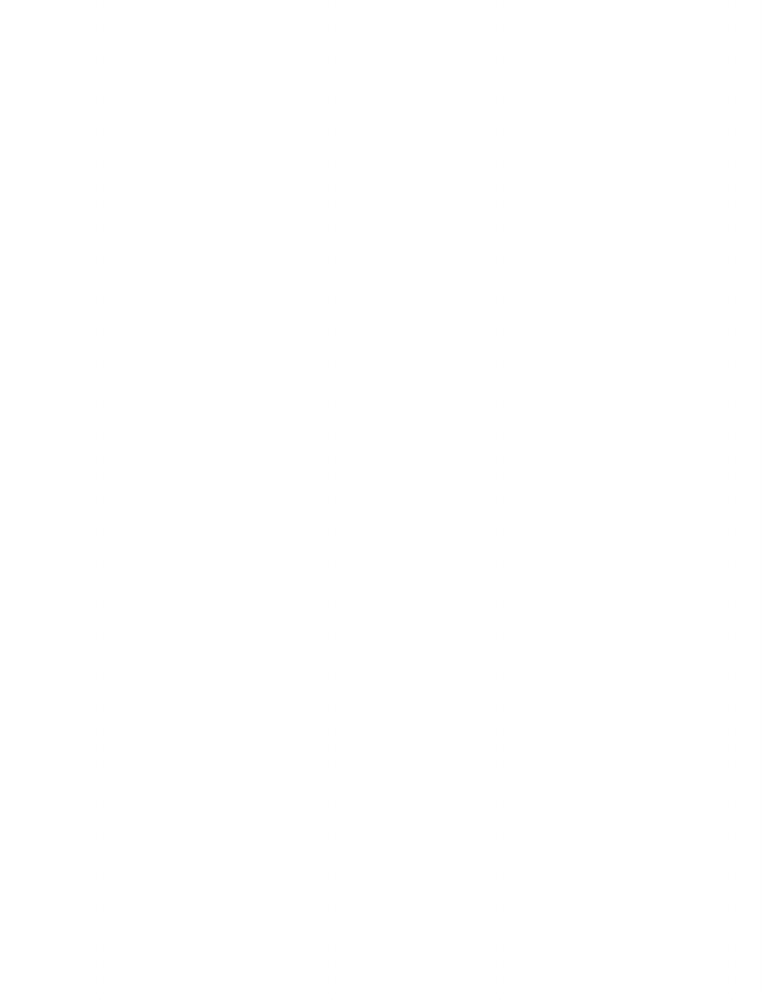Research on repeated patterns of deformities has allowed scientists to identify many teratogenic drugs and understand their adverse effects on the developing human being. There are also drugs which have not been proven to be teratogenic in humans, but are suspected to have minor effects on children who have been exposed to them prenatally or even postnatally. The following portion of this paper will name some of the more commonly used drugs and describe their known effects.

#### Alcohol

Alcohol is the most commonly used drug in the United States. Alcohol contains a drug, ethanol, which if ingested by the mother, is absorbed into the bloodstream and quickly transferred to the developing fetus. Unfortunately, the blood alcohol level of the fetus will be the same as that of the mother. In other words, if the mother is drunk, the unborn baby will be drunk as well. Heavy use of alcohol by an expectant mother often causes Fetal Alcohol Syndrome (FAS) in the child, a pattern of abnormalities which includes specific physical and mental defects. The three categories of features which define FAS are prenatal and postnatal growth retardation, facial malformations, and central nervous system dysfunction. However, there are a few other severe birth defects which are commonly seen among FAS infants such as cardiac defects, joint anomalies, genital anomalies, and cleft palate. Infants born with growth retardation are of reduced weight for their gestational age, and are usually short in length with small head and chest circumferences. Infants born with a birth weight that is at or below the tenth percentile of body weight for their gestational age are diagnosed as having intrauterine growth retardation or IUGR. Children with IUGR not only have a greater risk of serious infections and death during infancy, but they also usually fail to catch up and reach <sup>a</sup> "normal size"for their age in childhood. The facial abnormalities found in children with FAS fit a particular pattern. The typical facial defects include: short palprebal fissures, flattened midface, short nose, sunken bridge of the nose, flattened and elongated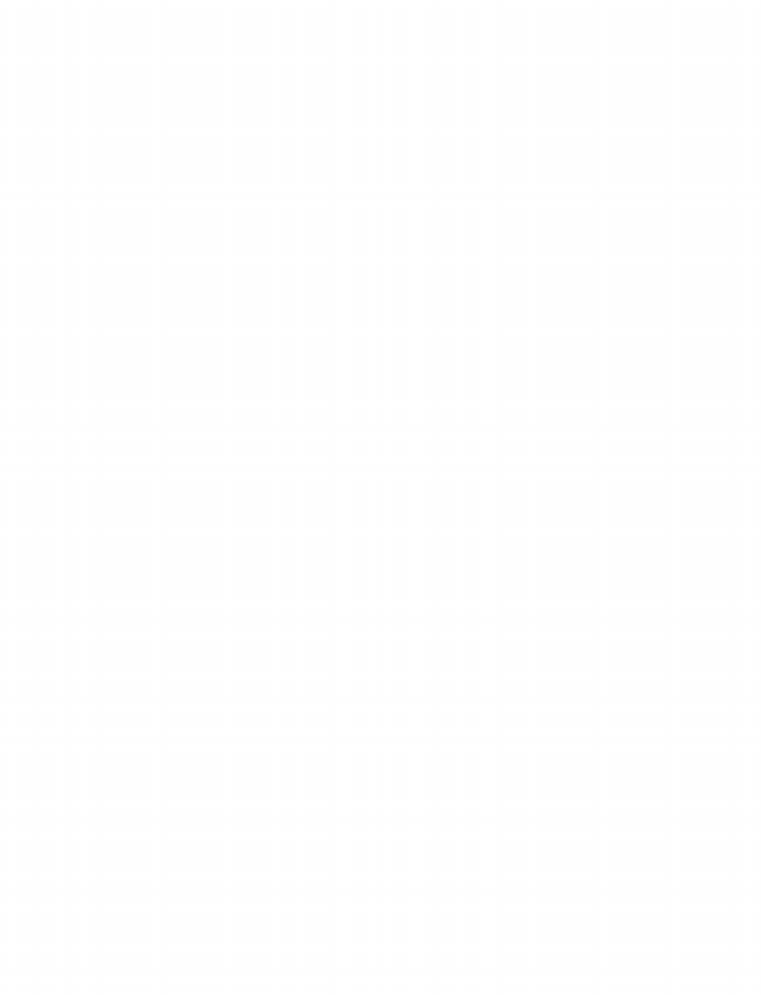philtrum, thin and elongated upper lip, low set ears, and a small jaw and head. The central nervous system defects associated with FAS include: mental retardation, problems with optical and auditory systems, poor coordination and motor development, learning disabilities, short attention span, poorsucking response, and hyperactivity. Infants born to mothers who drank heavily during pregnancy may also suffer from alcohol withdrawal. These infants may experience tremors, abnormal muscle tension, restlessness, irritability, abnormal sleep patterns, inconsolable crying, and reflex abnormalities. Spontaneous abortion, abruptio placentae (premature placental separation), and stillbirth are also consequences of heavy drinking during pregnancy.

Those infants who do not display all of the characteristics of FAS, but do suffer from a few of the abnormalities are defined as having "Fetal Alcohol Effects" (FAE), or they are said to have alcohol related birth defects. Mothers who drink even a moderate amount of alcohol during pregnancy may have a child with FAE. Many of these children may have poor motor development, behavioral and/or learning disabilities and sometimes mental retardation.

Unfortunately, alcohol use is so prevalent in oursociety that FAS is the leading preventable cause of mental retardation. Alcohol can interrupt fetal placental circulation, causing hypoxia, a deficiency in oxygen which damages the brain of the fetus, thereby causing mental retardation. Many pregnant women who drink alcohol also smoke cigarettes and/or take other drugs, and the combination of multiple can cause more severe abnormalities. In addition, drinking during pregnancy is sometimes accompanied by malnourishment and inadequate prenatal care, which also puts the fetus at greater risk for complications. There is a direct relationship with the amount of alcohol consumed by a drinking mother and the abnormalities produced in the child. However, the types of anomalies and their severity do not only depend on the dose and duration of alcohol exposure, but on the stage of development and on the genetic susceptibility of the embryo/fetus as well. The level of alcohol that is harmless to one child may cause birth defects in another. Since no "safe"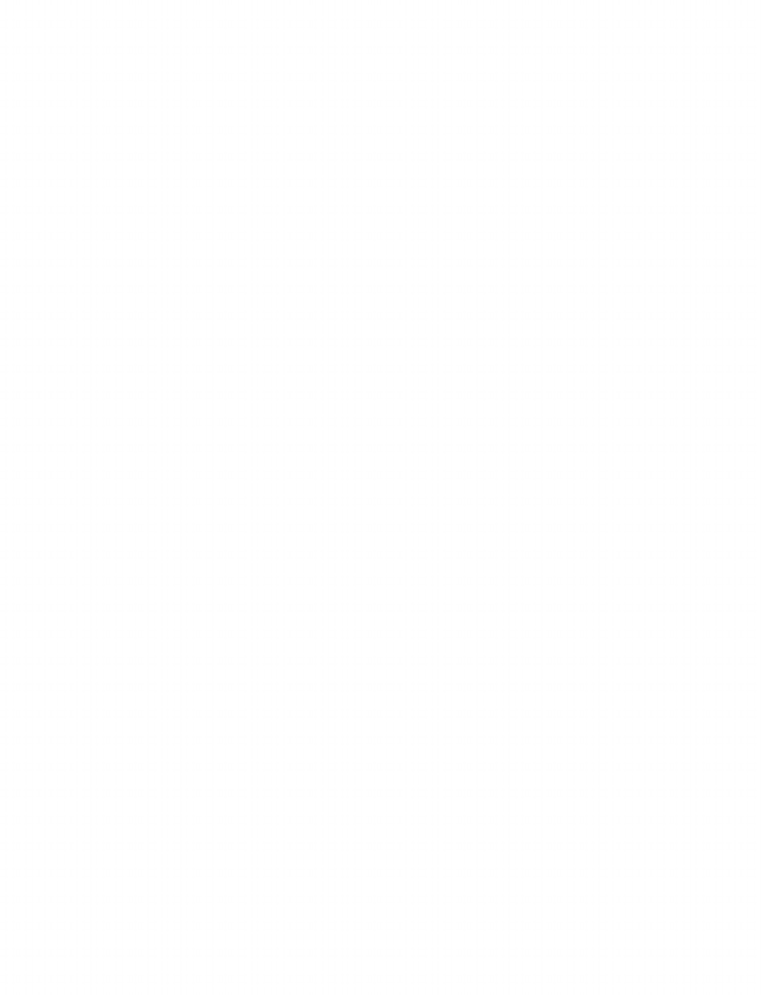amount of alcohol consumption during pregnancy has been established, it is strongly recommended that pregnant women and those trying to conceive abstain from alcohol completely. Those who will not abstain, should have no more than two drinks per day, (for example: two mixed drinks, two cans of beer, or two glasses of wine) although even this moderate level of consumption may interfere with normal fetal development. Periodic binge drinking is believed to be even more harmful to the fetus than a consistent moderate intake of alcohol and therefore should always be avoided during pregnancy.

Maternal alcohol consumption while breastfeeding should also be avoided. Alcohol does reach the breastmilk and can be transmitted to the nursing child. Large amounts of alcohol can interfere with nursing by reducing the mother' <sup>s</sup> milk supply and by inhibiting the milkejection reflex. Infants may also become irritable, drowsy, and may be slower to acquire motor skills.

The estimated incidence of fetal alcohol syndrome is anywhere between 1/300- 1/2000 live births.<sup>4</sup> Among chronic alcoholic women FAS occurs in 30% - 40% of infants.<sup>5</sup> Researchers have found that many of the children diagnosed with FAS or FAE at birth have not only short-term problems, but many long-term problems as well, including dental, skeletal, and morphologic anomalies, growth delays, and low IQs. FAS victims as adults have severe psychological and behavioral problems and are usually incapable of independent living. Sadly, the effects of FAS last a lifetime.

#### **Cigarettes**

A woman who smokes cigarettes during pregnancy puts her child at risk. Although maternal cigarette smoking is not believed to cause major congenital defects, it can cause intrauterine growth retardation (IUGR), respiratory problems, behavioral and learning difficulties, as well as obstetrical complications. In addition, maternal smoking is associated with

<sup>&</sup>lt;sup>4</sup> Laurie H. Seaver and Eugene Hoyme, "Teratology in Pediatric Practice," The Pediatric Clinics of North America 39, no.l (February 1992): 119.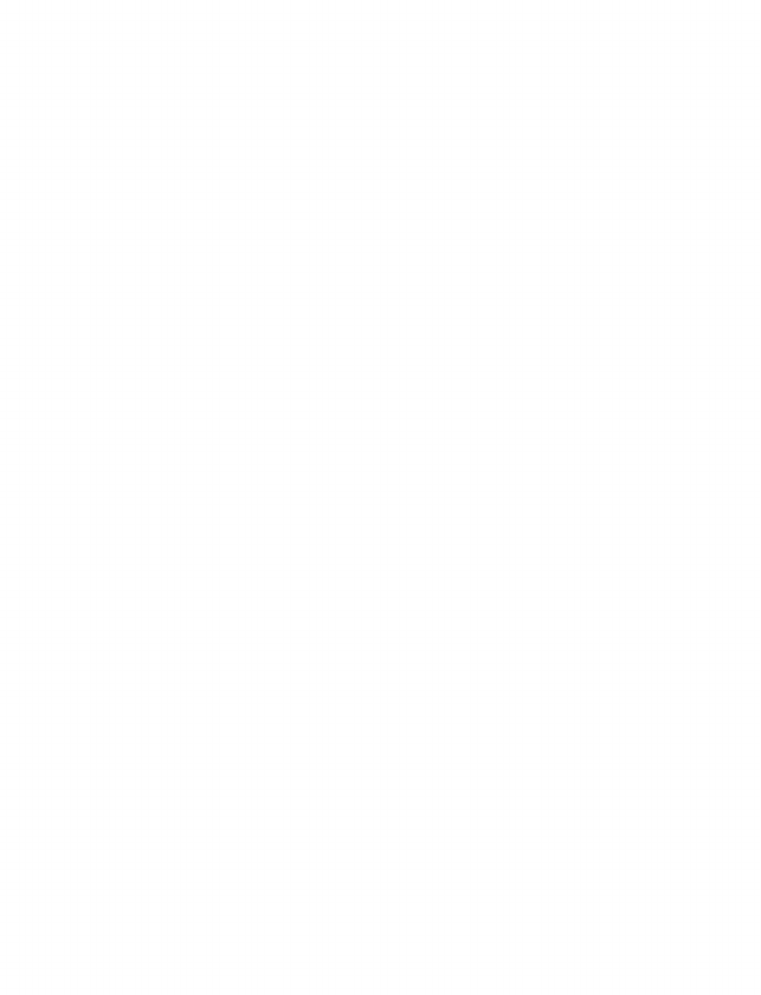spontaneous abortion, stillbirth, premature deliveries, and sudden infant death syndrome (SIDS). SIDS is the sudden, unexpected, and unexplained death of an apparently healthy child, most commonly between the ages of one and four months.<sup>6</sup>

Many of the harmful toxins found in tobacco smoke, including numerous carcinogens, metals, irritants, and gases can be harmful to the unborn child. Carbon monoxide and nicotine, for example, interfere with the transport of oxygen between mother and child. Carbon monoxide quickly bonds to the hemoglobin found in red blood cells and prevents the binding of oxygen. The resulting carboxyhemoglobin travels through the mother' s bloodstream and is passed via the placenta to the fetus, causing the fetus to receive inadequate oxygen levels for normal development. Nicotine, another chemical in cigarette smoke, is known to cause blood vessel constriction which also reduces the amount of oxygen reaching the fetus. In addition, smoking during pregnancy may cause adverse effects on the structure and function of the placenta, thus interfering with the transfer of vital, growth-sustaining nutrients and oxygen to the fetus. The placentamay develop infarcts (necrosis of tissue due to cessation of blood supply), narrow uterine vessels, smaller intervillous spaces, and a reduction of blood flow into these spaces.

Insufficient oxygen and nutrient transport to the fetus can lead to infants born with IUGR. These low weight babies are on average 200 grams (7 oz.) lighter than those born to nonsmokers. The reduced size and weight of an infant born to a mother who smoked during pregnancy has a direct relationship with the number of cigarettes smoked each day. However, if a woman can stop smoking during the fourth month of pregnancy she has a greater chance of delivering a baby with a normal birth weight. Research shows that passive smoking, or exposure to environmental cigarette smoke, may also influence low birth weight.

<sup>5</sup> Seaver, 120.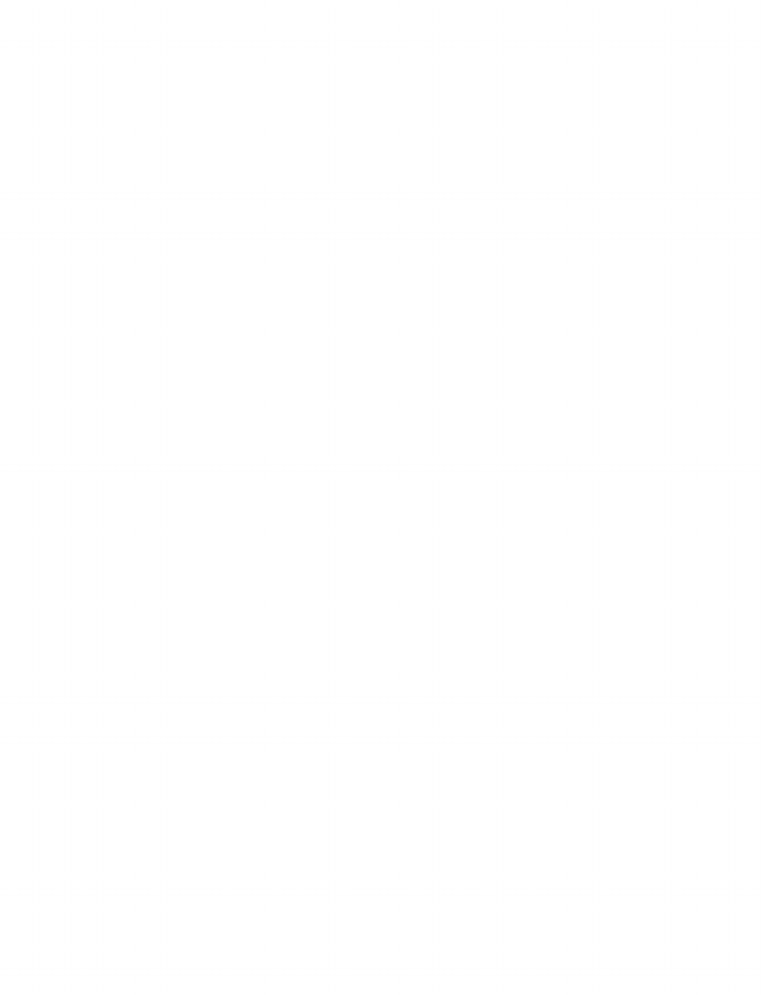Smoking during pregnancy is known to cause maternal vaginal bleeding which can lead to premature delivery. Premature birth increases the risk of early infant illness or death. In addition, obstetrical complications such as abruptio placentae and placenta previa (the attachment of the placenta too low in the uterus) commonly occur among smokers. Both of these conditions prevent oxygen from reaching the child and can lead to premature delivery or stillbirth.

Postnatal smoking can also have harmful effects. Since smoking can suppress lactation, women should avoid cigarettes while trying to breastfeed. Women who smoked during pregnancy and after, also have a greater number of infants with SIDS than non-smokers. Studies also show that infants born to smokers, or to those who live in a smoke-filled environment, also have an increased risk of pneumonia, bronchitis, colds, asthma, and other respiratory problems.

In order to reduce the risk of IUGR and other complications it is recommended that women abstain from cigarette smoking during pregnancy and that prenatal and postnatal exposure to environmental smoke be avoided.

## **Caffeine**

While there is no evidence of an association between caffeine and congenital birth defects, it is recommended that pregnant women avoid products which contain caffeine. Some of the more common products with caffeine include soft drinks, chocolate, coffee and tea. There is the possibility that caffeine may cause harm to a fetus, but due to the common practice of combining tobacco, alcohol and caffeine use, analysis on the effects of caffeine alone on an unborn child has been difficult.

<sup>6</sup> Patrick Young, *Drugs and Pregnancy* (New York: Chelsea House Publishers, 1987), 56.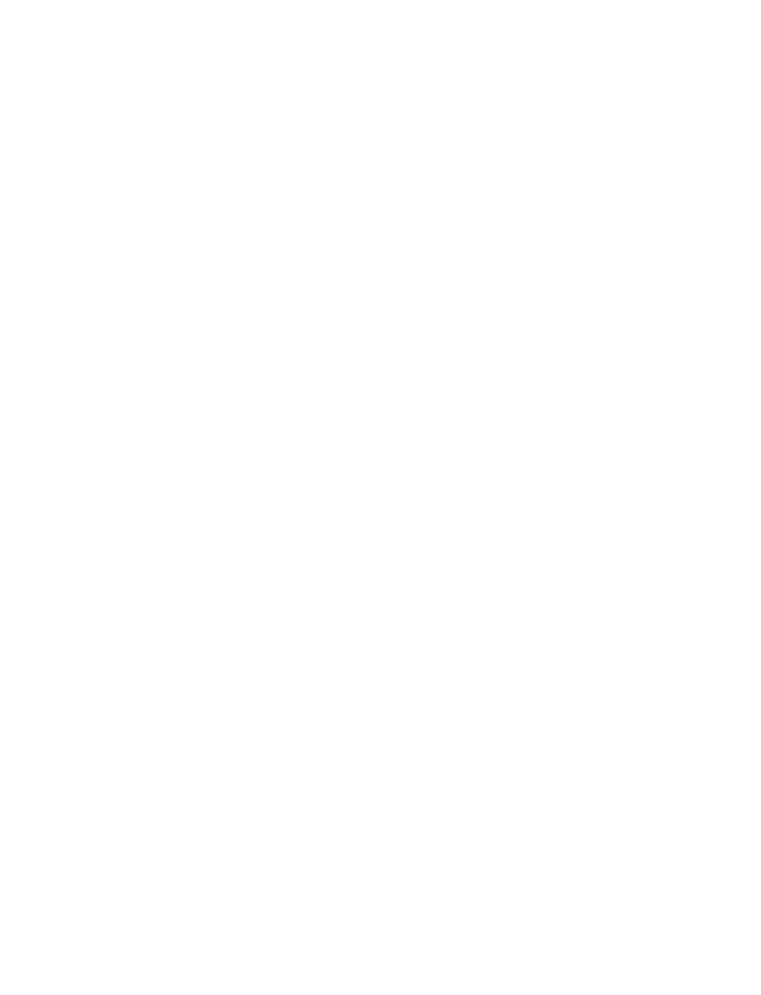#### Marijuana

Marijuana, also known as pot or grass, is a commonly used illicit drug in our society. It consists of the dried flowering parts of a plant called Cannabis sativa. Marijuana is usually smoked in the form of a cigarette or smoked in a pipe. The smoke contains many of the same components as tobacco smoke and can cause similar health hazards. In addition, marijuana smoke contains a psychoactive constituent called delta-9-tetrahydrocannabinol (THC) which produces a state of mild euphoria in the user. Marijuana can impair short term memory and psychomotor coordination as well as alter the mood of the user. Marijuana is thought to be a potential teratogen, but there has been substantial controversy over whether or not it produces physical abnormalities in children born to women who smoked it during pregnancy. Marijuana readily crosses the placenta and reaches the fetus. Although no specific pattern of birth defects are associated with the use of marijuana, heavy marijuana smoking during pregnancy seems to cause low birth height and weight (IUGR), decreased heart rate, as well as nervous system abnormalities in the child. Newborns exposed to marijuana in utero may exhibit increased tremulousness, altered visual response patterns to light stimuli, and may have altered sleep and arousal patterns. Marijuana is often used in conjunction with other harmful agents, such as alcohol and cigarettes. Combined usage of these drugs can increase the chances of adverse effects on the developing fetus. Marijuana is transmitted into breastmilk and will reach the nursing baby. However, due to inconsistent findings, the effects of marijuana on a nursing infant are not certain. Some studies suggest that it may cause drowsiness in the infant. Long-term

effects of prenatal marijuana exposure are unknown. Much additional research is needed to give healthcare professionals and parents a better understanding of the consequences of marijuana use during pregnancy.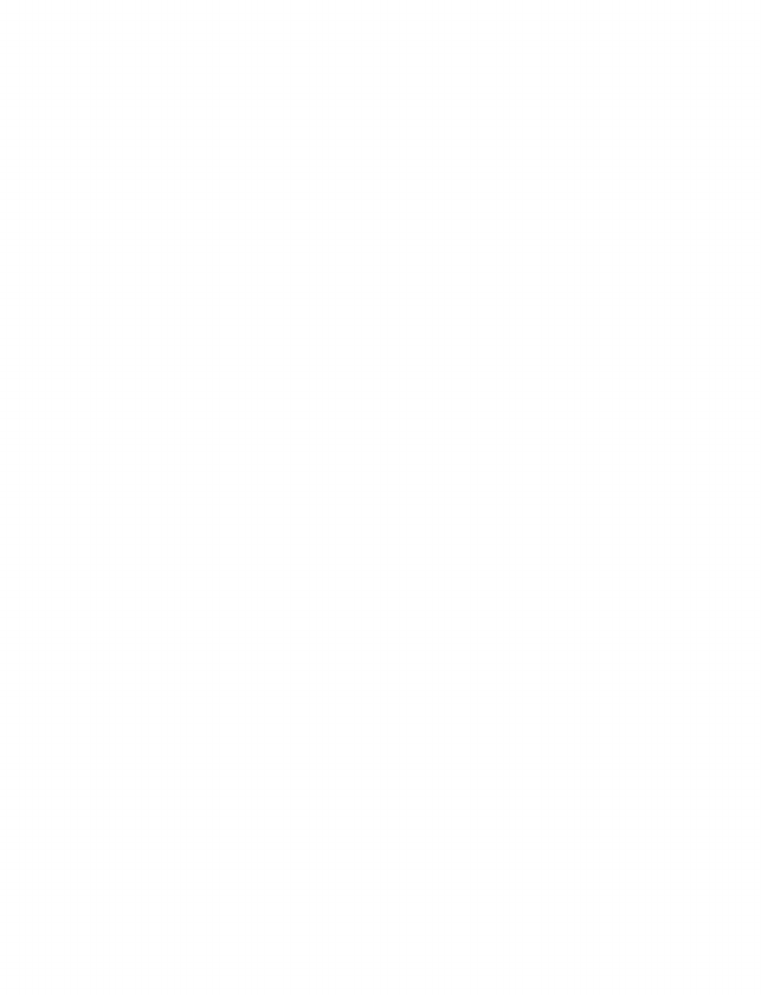#### Heroin

Heroin is a narcotic derived from the juice of the opium poppy. Opioids are natural and synthetic drugs which act on the central nervous system. In addition to heroin, drugs such as morphine, codeine, methadone, meperidine (Demerol), and pentazocine (Talwin) are members of the opioid group. While most drugs from this group are prescribed for therapeutic purposes, often they are used illegally. The focus here will be on heroin, one of the most widely used illicit drugs in our society.

Heroin is a dangerously addictive narcotic. It induces a euphoric state which its users find very appealing. However, there are serious consequences involved with the use of this mindaltering drug. Heroin can be taken intravenously, orally, nasally, and subcutaneously. Intravenous heroin use is especially risky not only because of the adverse effects of the drug, but also because of the common practice of using unsterile paraphenalia to inject the drug. AIDS contracted by sharing contaminated needles is an increasing problem among heroin addicts. In addition AIDS can be acquired from the risky lifestyle of the heroin abuser. Many addicts, most commonly women, sell sex to buy their next "high". Not only are these women at risk of acquiring AIDS, but they often acquire sexually transmitted diseases such as syphilis and gonorrhea. Addicts are often malnourished and tend to neglect their general healthcare. Medical complications including hepatitis, endocarditis, thrombophlebitis, cellulitis, tetanus, toxemia nephrotic syndrome, and anemia are not uncommon among heroin abusers.

Heroin not only causes severe problems in the person who abuses the drug, but also can endanger a fetus. Many heroin-dependent women experience irregular menstrual cycles and therefore fail to recognize when they are pregnant. It is not unusual for an addict to notice her pregnancy as far along as three or four months, having exposed her baby to the addictive drug for a long period of time. Like alcohol, heroin rapidly crosses the placenta and has an addictive response on the unborn baby. When the mother experiences overdoses and withdrawals, the fetus does too. The inconsistent doses and the erratic use of heroin by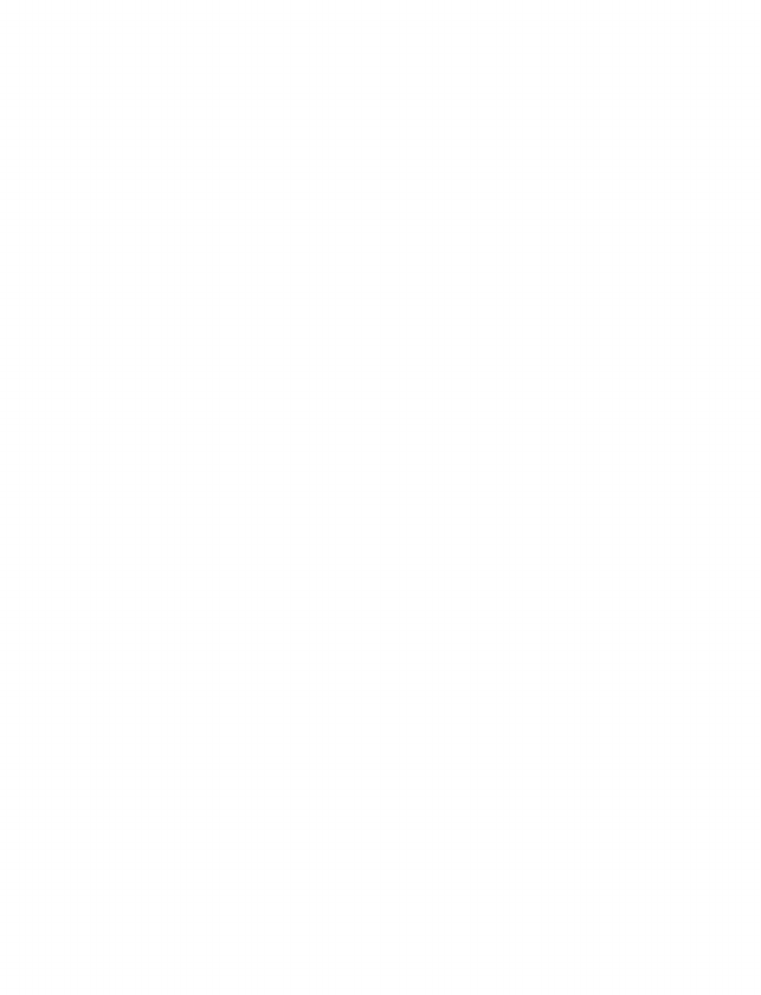the addict can lead to many episodes of overdose and withdrawal. Unfortunately, both types of episodes can cause hypoxia in the developing fetus, and ultimately can lead to the death of the baby.

Obstetrical complications are also prevalent among heroin-dependent women. Spontaneous abortion, abruptio placentae, amnionitis, chorioamnionitis, premature rupture of the fetal membranes, eclampsia, premature birth, breech birth, stillbirth, and an increased number of Ceasarian sections are associated with heroin use during pregnancy. The infants who survive generally have low birthweights, a small head size (IUGR), optical and auditory problems, increased risk of infections, increased risk of SIDS, and they commonly suffer from withdrawal symptoms. Withdrawal symptoms can be very dangerous, even fatal to an infant. Withdrawal symptoms include irritability, hyperactivity, wakefulness, twitches, tremors, high-pitched cry, rapid heart rate, fever, diarrhea, vomiting, and seizures. The use of heroin while nursing can also be harmful to the baby. Heroin is transmitted to the baby in breastmilk and can cause heroin dependency in the infant. Studies have shown that the effects of maternal heroin use during pregnancy can last into early childhood. Heroin-exposed children can have behavioral problems such as hyperactivity, short attention spans, temper tantrums, as well as slow motor and speech development.

It is essential that a pregnant heroin-dependent woman seek medical assistance when trying to come off heroin. The harmful withdrawal symptoms which would result from quitting the drug "cold turkey" could kill the unborn child. Medical professionals can treat the addiction by using a synthetic opioid called methadone. Methadone treatment provides a constant drug level in the bloodstreams of mother and child. Also, the drug fails to produce a euphoric state, thereby controlling the urge to "shoot up." Methadone treatment allows addicts to lead more stable lives. Maternal healthcare and prenatal care are greatly improved by regular contact with healthcare workers. Mothers on methadone have better nutritional habits and the use of unsterile needles, along with associated problems, are greatly reduced.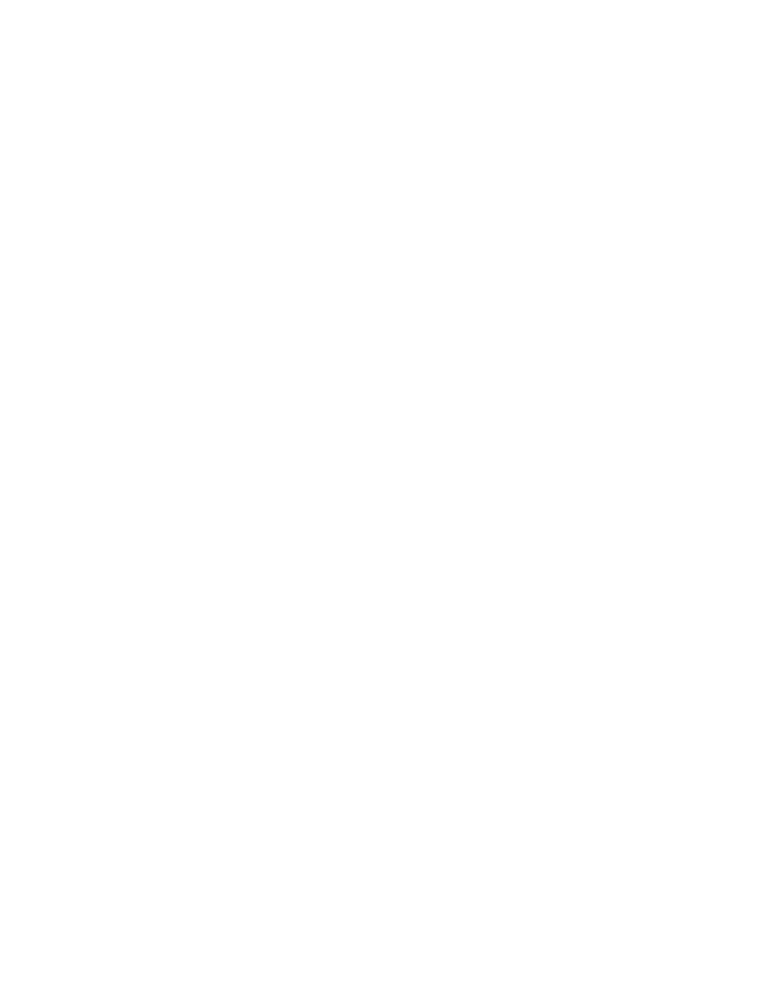Although the use of methadone can have some adverse effects on the fetus  $\mu$  is successful in treating heroin-dependency and reducing the risk of obstetrical complications and fetal death. For example, although the birth weight of an infant born to a woman in methadonemaintenance is low, it is still higher than an infant whose mother was on heroin throughout her pregnancy. While the mortality rate of infants is higher among methadone users than nonaddicts, the death rate is still lower than among untreated heroin users. Also, while withdrawal is still common for infants whose mothers are treated with methadone, severity of the symptoms, the nsk of early infant death, and the presence of childhood behavioral problems are significantly reduced.

#### Cocaine

Cocaine, derived from the coca plant, is another illicit drug widely used for the euphoric state it can induce. Feelings of confidence, high energy, and mental alertness with increased sensory awareness are also frequently experienced among cocaine users. Large doses of cocaine may cause paranoia and violent behavior. The euphoria produced by cocaine lasts only a short period of time and then it is followed by a "crash," which leaves the user depressed and despondent. Some people repeat the use of the drug several times a day in attempt to dodge the unpleasant feelings that occur from crashing. It is also not uncommon for individuals to combine cocaine use with the use of other drugs, such as alcohol and/or heroin, in order to alleviate the pains of withdrawal. However, this dangerous practice of combining drugs can be lethal.

Cocaine is a white powder, generally snorted through the nostrils. Those interested in getting <sup>a</sup> faster and more intense "high" inject or smoke different forms of the drug. Crack, the smokable type of cocaine, is in the form of white crystals. It is less expensive than the powdered form of the drug, in addition to being much more potent and addictive.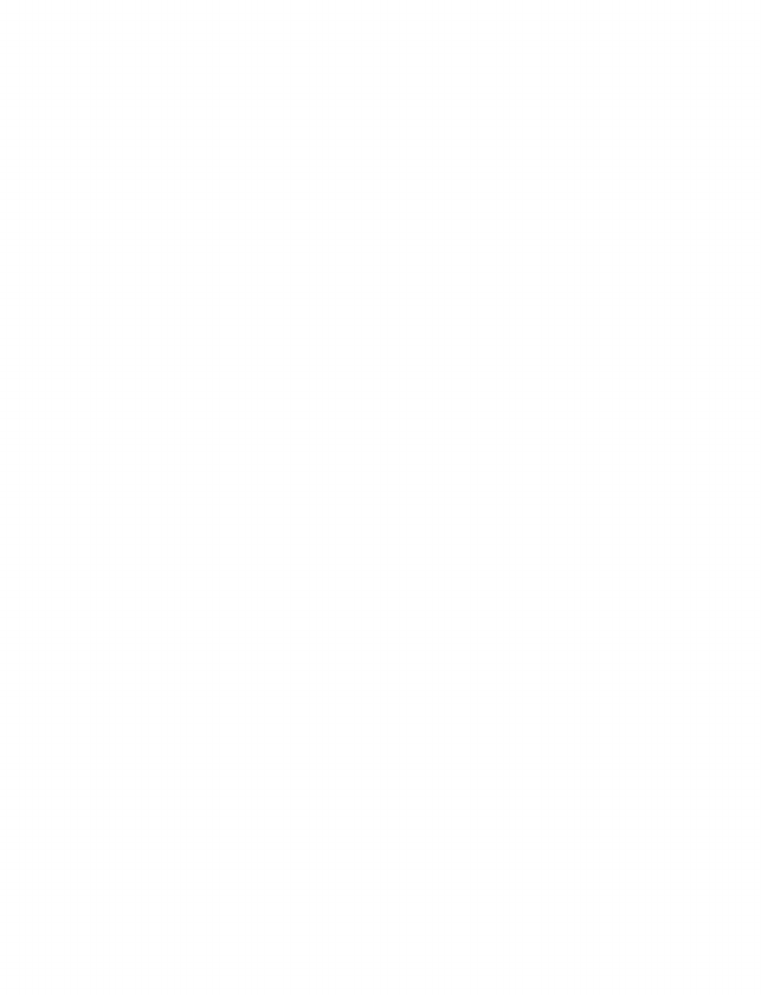Women addicted to cocaine/crack face many of the same health concerns as women who are addicted to heroin. The exchange of sex for crack puts women at risk of acquiring AIDS and sexually transmitted diseases (STDs).

Obstetrical complications associated with cocaine use include spontaneous abortion, abruptio placentae, stillbirth, and premature delivery. In addition, a woman using cocaine may experience seizures, myocardial infarction, cardiac arrhythmia, rupture of the ascending aorta, and central nervous system complications.

Cocaine affects the fetus as well. The fetus, like the mother, is at risk of contracting AIDS Cocaine affects the fetus as well. The fetus, like the mother, is at risk of contracting AIDS<br>and STDs. Also, maternal cocaine use causes a constriction of the mother's blood vessels, including the uterine vessels, thus reducing blood flow and nutrient transport through the placenta Babies exposed to cocaine in utero may be born with a small head (microcephaly), which prevents the normal growth of the brain. They also have an increased risk of IUGR, due to the combination of insufficient blood reaching the fetus and the appetite-suppressing effects of cocaine on the mother. Cocaine exposed babies are also believed to have a higher risk of SIDS. Some studies suggest that cocaine may cause structural birth defects of the genitourinary tract, cardiovascular system, central nervous system and extremities. Although, there seems to be an increased rate of birth defects associated with maternal use of cocaine, currently there is no conclusive evidence on the subject. Further research is necessary to determine the extent of the abnormalities caused by the use of the drug during pregnancy. Infants born to cocaine-abusing mothers often exhibit various behavioral problems. Some of the more common problems include irritability, tremors, poor feeding, frantic fist sucking, abnormal sleep patterns, increased startles, poor visual processing, and fretfulness. Some infants, as late as 8 months of age, have abnormalities of muscle tone, reflexes, and movement. Further long-term effects are unknown. Nursing babies also show some of the same behavioral abnormalities as newborns who were exposed to the drug in utero. Tremulousness, irritability, and startled responses are believed to be caused by maternal use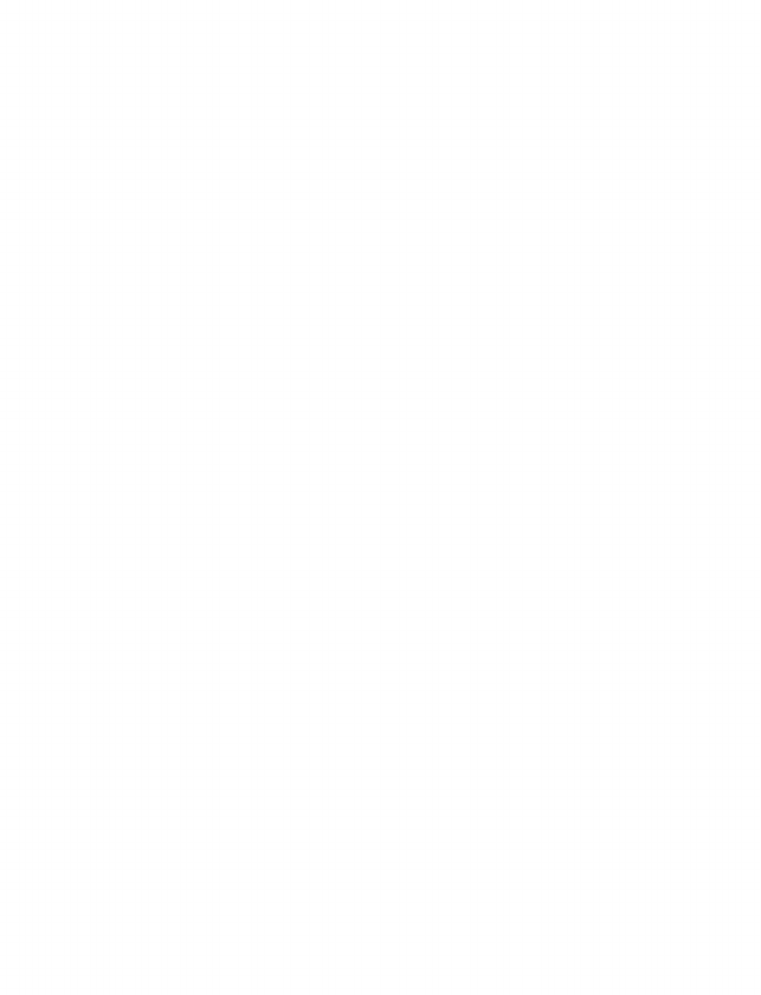of cocaine while breastfeeding. But long-term effects of cocaine exposure to the infant are not known at this time.

In addition to alcohol, cigarettes, and numerous types of illicit drugs often used by women of childbearing age, there are many prescription medications used as treatments which can be harmful to an unborn child. It is important for healthcare professionals to inform women who use prescribed drugs about the potential hazards of these substances on a developing embryo, fetus, or nursing baby. Certain maternal disorders can be very serious and require prolonged treatment with medication, even throughout pregnancy. Although drug use among pregnant women is discouraged, sometimes the benefit of controlling the disorder outweighs the risk associated with medication. It is, however, important for a woman who is on medication to inform her doctor immediately if she is planning a pregnancy, or if she discovers that she is pregnant. The doctor will want to treat the condition using only one drug at the lowest possible therapeutic dose in order to minimize the risk of harm to the baby.

Although some drugs have been proven teratogenic in humans, the potential harm to embryonic/fetal development from most drugs is at this time unknown. This section of the paper will focus on some of these substances which are used, or have been used, to treat specific disorders, but are now known to be potentially dangerous to an unborn or nursing child.

## Anticonvulsants

Phenytoin (Dilantin) is an anticonvulsant agent used to treat epilepsy. It has been proven to be teratogenic and may, in some cases, even cause fetal death. There is a particular pattern of anomalies associated with this drug, called fetal hydantoin syndrome (FHS). Newborns with the condition exhibit characteristic facial features, heart disease, IUGR, and most commonly, nail and digital hypoplasia. The expression of the syndrome can range from the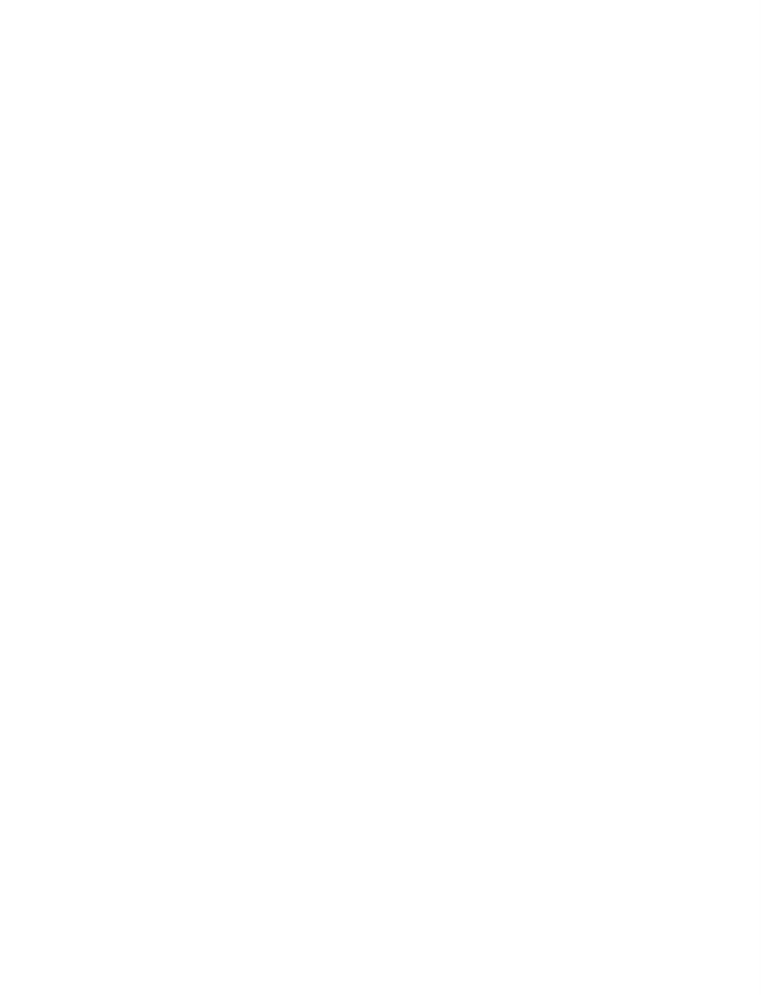entire group of characteristic anomalies to minor cranio-facial and peripheral anomalies. The characteristic facial features include short nose with low nasal bridge, ocular hypertelorism, low-set ears, wide mouth with prominent lips, cleft lip and palate, and microcephaly. Mental retardation and bleeding disorders also may result from in utero exposure to the drug. Since phenytoin is transmitted to breastmilk, a woman who is taking the anticonvulsant is advised against breastfeeding.

Valproic Acid is another drug used to treat seizure disorders. Maternal use of this drug also causes a syndrome. Fetal valproate syndrome includes craniofacial abnormalities such as epicanthal folds, flat nasal bridge, high forehead, short anteverted nose, long philtrum, thin upper lip, cleft lip, midfacial hypoplasia, and small mouth. Exposure to this drug may also cause neural tube defects (such as spina bifida), cardiovascular defects, and developmental delays. Studies have also shown that children born to mothers who used Valproic acid during pregnancy have low "Apgar" scores. (The test, which rates an infant's physical condition one minute after birth, checks the baby' s heart rate, respiration, muscle tone, color, and response to stimuli.)

The anticonvulsant Carbamazepine has also been associated with congenital defects. Some of the common malformations caused by the drug include microcephaly, nail hypoplasia, neural tube defects, prenatal and postnatal growth deficiency, cardiac defects, epicanthal folds, upslanting palprebal fissures, short nose, and long philtrum. The severity of the defects is dose-dependent. Children exposed to carbamazepine in utero often share a similar phenotype as those with fetal hydantoin syndrome.

Trimethadione (Tridione), another anticonvulsant agent used to treat certain types of epilepsy, has been proven to be teratogenic in humans. It, too, has an associated pattern of anomalies, called fetal trimethadione syndrome. Babies exposed to trimethadione exhibit craniofacial anomalies, cleft lip and palate, and cardiac defects. They also tend to be delayed in growth and psychomotor development and have an increased risk of fetal and infant death.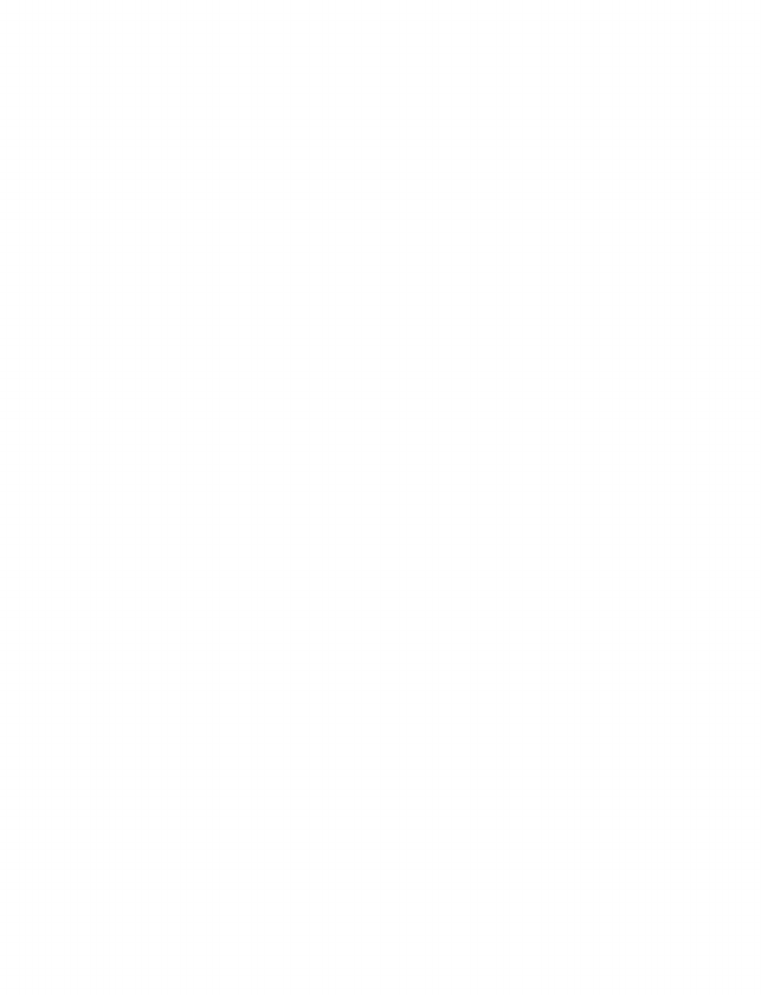Unfortunately, there are no known safe anticonvulsants on the market at this time. When anticonvulsant medication is required during pregnancy, the doctor will prescribe one drug to be taken at the lowest possible dose necessary to treat the disorder. Discontinuing the use of anticonvulsant medication during pregnancy is not recommended. Lack of treatment may result in seizures which can be harmful to both the fetus and the mother.

#### Anticoagulants

Sodium Warfarin (Coumarin) is an anticoagulant which can easily cross the placenta and cause congenital defects in exposed offspring. Sodium Warfarin is a blood thinner, used to prevent potentially fatal blood clots. It is prescribed to patients who, for example, have undergone surgery, who have prosthetic heart valves, or who have thromboembolitic disease.

Warfarin, if used in the first trimester of pregnancy, can cause facial and skeletal anomalies, such as nasal hypoplasia, epiphyseal calcification of long bones and vertebrae, IUGR, short broad hands, short distal phalanges, and eye anomalies, including optic atrophy.

Maternal use of Warfarin during the second and third trimester may result in CNS defects and mental retardation. The more common CNS anomalies include absent corpus callosum, hydrocephalus (Dandy-Walker malformation), and asymmetric brain hypoplasia. There is also an increased risk of pregnancy loss with the use of this drug.

Heparin is the anticoagulant of choice during pregnancy. It does not cross the placenta due to its high molecular weight. While exposure to heparin still increases the risk of pregnancy loss and premature delivery, at this time it is not known to cause any congenital defects.

### Antineoplastics

Aminopterin, used to treat leukemia, is a known teratogen in humans causing growth retardation, skeletal defects, and facial abnormalities. The consistent pattern of deformities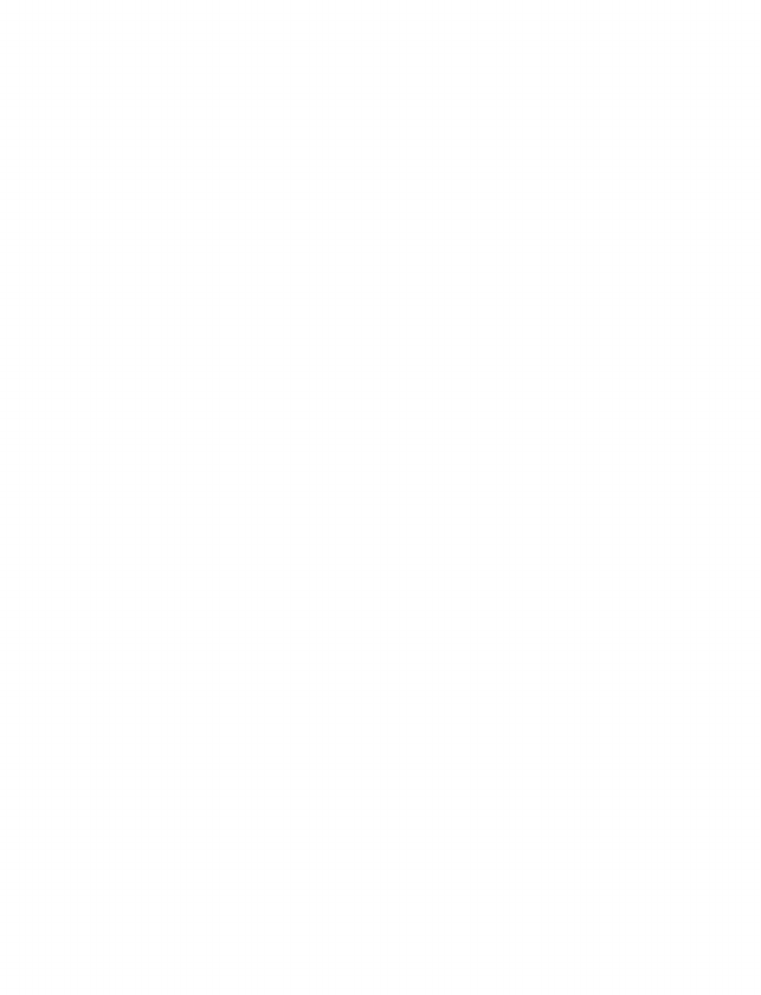among the drug' s users are IUGR, abnormal cranial ossification, delayed frontanel closure, ocular hypertelorism, broad nasal ridge, prominent eyes, heart defects, cleft lip and palate, CNS damage (including microcephaly, hydrocephalus, and mental retardation), pancytopenia, small low set ears, severe microganthia, and limb abnormalities (including absent bones or positional abnormalities). Aminopterin use early in the first trimester of pregnancy is lethal to the embryo. This cancer-fighting drug destroys rapidly dividing cells, found in tumors, for example. Therefore it is not surprising that fetal exposure to Aminopterin would be harmful, since fetal cells are also rapidly dividing and differentiating. Aminopterin and another antineoplastic agent, called methotrexate, are both folic acid antagonists. A sufficient level of folic acid is necessary for the normal development of a baby. Folic acid is a B-complex vitamin necessary for the production of DNA, RNA, and red blood cells. Folic acid deficiency, whether caused by the use of a folic acid antagonist or by malnutrition, is teratogenic in humans. In order to help prevent many neural tube defects, The Food and Drug Administration, as of January 1998, requires the manufacturers of grain-based foods to add folate (folic acid) to their products. Now foods such as flour, bread, pasta, and cereal are fortified with this essential B-vitamin, so that women who have unplanned pregnancies have a sufficient level of folic acid in their bodies before becoming pregnant.

#### **Hormones**

Birth control pills taken during pregnancy can be detrimental to the well-being of a developing child. Embryonic/fetal exposure to birth control pills during the first four months of gestation results in an increased risk of congenital abnormalities, including heart and limb reduction defects.

In utero exposure to Diethylstilboestrol (DES), a synthetic estrogen which was used years ago to prevent miscarriage, is believed to have caused uterine, cervical, and/or vaginal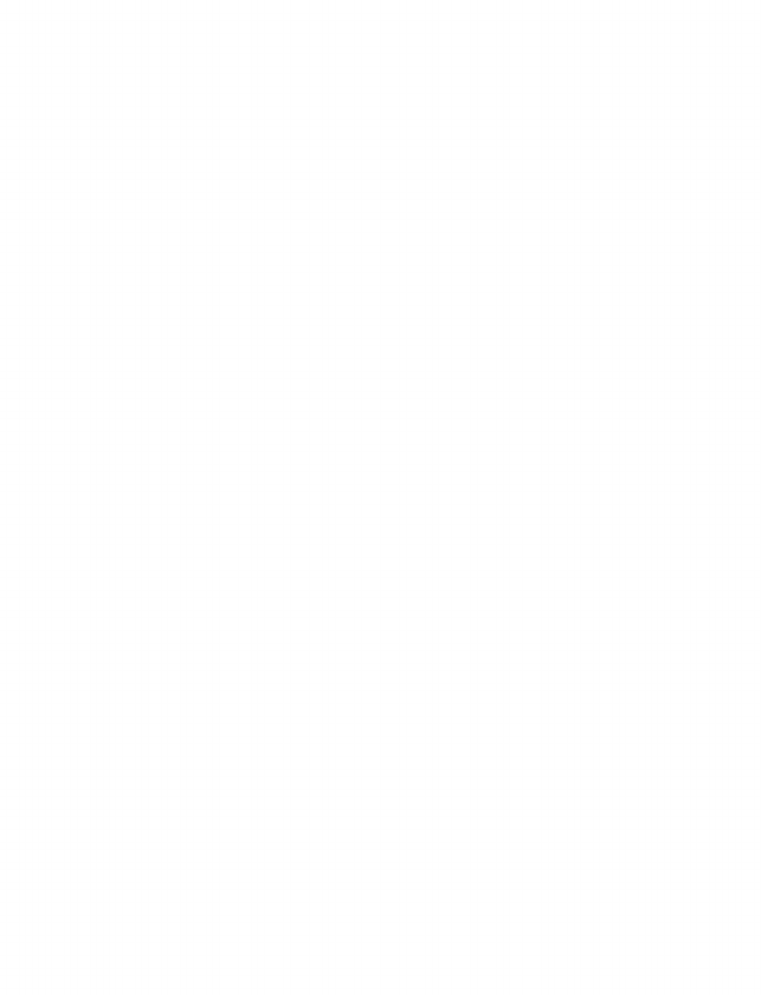abnormalities, including cancer, in mature female offspring. In addition, high doses of DES have been reported to cause masculinization of the female fetus as well as decreased fertility. Physicians recommend that women who are planning to become pregnant wait at least three months after stopping the use of birth control pills before they try to conceive. The hormones from the pills which remain in a woman's body for quite some time, can pose a threat to an unborn child.

#### Antibiotics

The antibiotics tetracycline and streptomycin can adversely affects the developing fetus. Tetracycline taken during pregnancy can slow bone growth and discolor a baby' s deciduous teeth. Teeth may grow in yellow and eventually turn gray or brown. Also, higher doses of the antibiotic can cause hypoplastic tooth enamel and other tooth anomalies. Streptomycin use during pregnancy can cause serious hearing deficiencies in children exposed to the drug in utero. There is evidence that the drug damages the eighth cranial nerve, the vestibulocochlear nerve, which innervates the ear.

At this time, the use of penicillin, amoxicillan, and erythromycin during pregnancy seems to present minimal risk to the fetus.

#### Retinoic Acid (Vitamin A)

Although vitamin A is necessary for normal human development, excess vitamin A can be teratogenic. Isotretinoin (Accutane), a vitamin A derivative, is a drug used to treat severe cystic acne. Accutane is a very potent teratogen and can cause serious congenital abnormalities and increase the risk of spontaneous abortion. The use of Accutane in the first trimester of pregnancy can result in craniofacial malformations, as well as cardiac, thymic, and CNS defects. Some of the brain abnormalities associated with Accutane are hydrocephalus, microcephaly, and lissencephaly, all of which can cause mental retardation in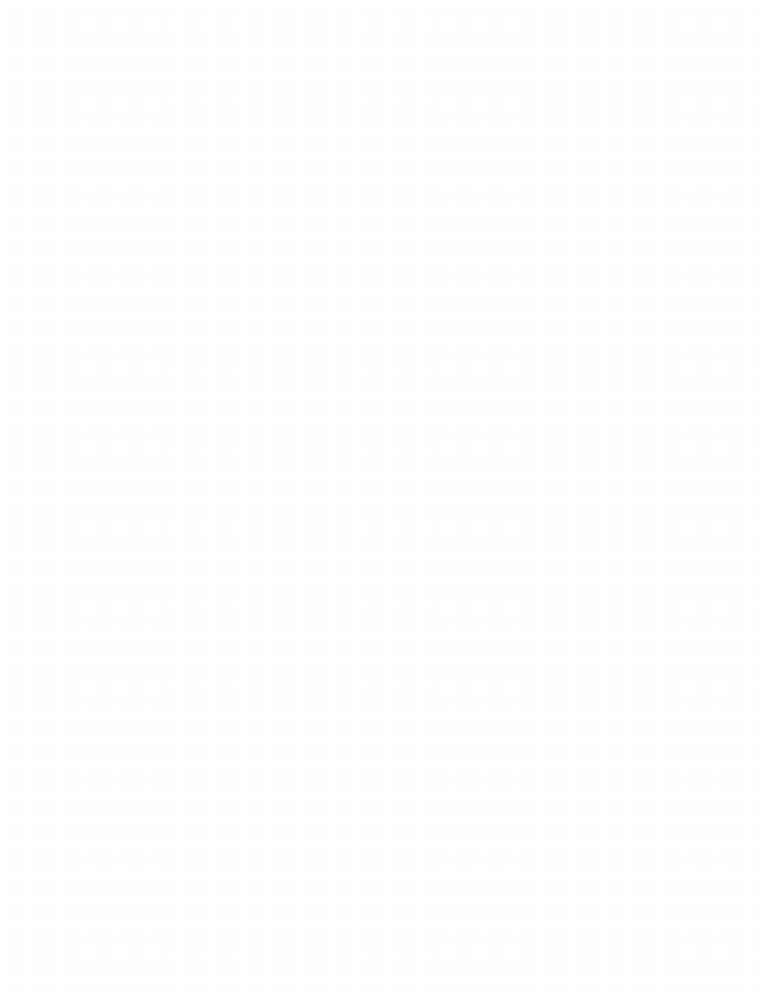the child. It is estimated that up to 50 % of the exposed offspring have cognitive deficits.<sup>7</sup> Some of the more common cardiac defects found in children whose mothers took the drug are ventricular, atrial, and septal defects, and aortic arch abnormalities. The craniofacial abnormalities can include, microganthia, cleft palate, ocular hypertelorism, narrow sloping forehead, flat nasal bridge, and defects of the external and inner ear. Other miscellaneous defects associated with Accutane include limb reductions, decreased muscle tone, and behavioral abnormalities.

In addition to the great risk associated with the use of Accutane, a high percentage of the drug' s users are of childbearing age. It is estimated that 38% of Accutane users are women between the ages of 13 and 19 years.<sup>8</sup> This drug should never be taken during pregnancy or if planning to become pregnant. If absolutely necessary, topical medications, including Benzoyl peroxide and Erythromycin, are the preferred acne treatment methods during pregnancy.

## Psychiatric Drugs

Lithium, which is useful in treating manic depressive illness, is associated with increased risk of congenital abnormalities. It interferes with cardiogenesis and causes heart defects such as Ebstein's anomaly (which effects the organ's tricuspid valve). After the completion of cardiogenesis, approximately 6 weeks after conception, maternal use of lithium during gestation presents decreased risk of malformations to the fetus. However, the drug has been reported to cause low birth weight and premature birth.

Diazepam (Valium), a sedative and anti-anxiety drug, readily crosses the placenta. If exposure to the child occurs in the first trimester, serious congenital anomalies result, including cleft lip and palate, inguinal hernia, heart defects, and pyloric stenosis. If Valium is taken during the second trimester of pregnancy the fetus may develop circulatory and

 $<sup>7</sup>$  Conover, 527.</sup>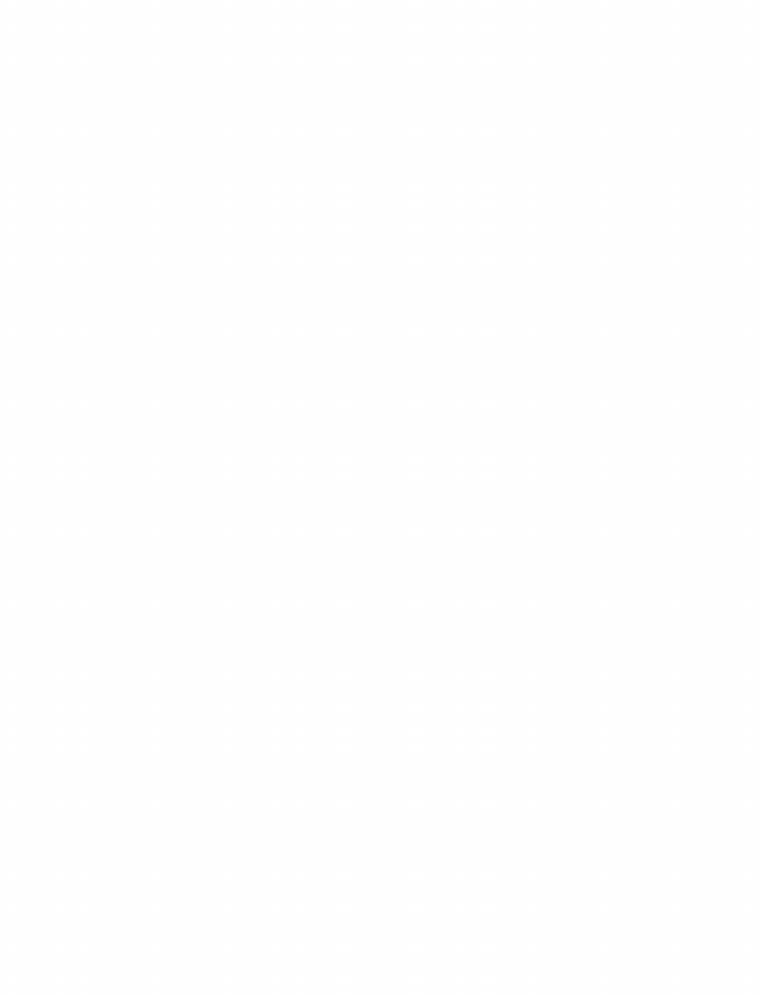cardiac defects and hemangiomas. Use of the drug before delivery will generally result in low Apgar scores, hypertonia, and reluctance to feed. The infant may also suffer withdrawal symptoms including tremors, irritability, hypertonicity, diarrhea, and vigorous sucking. Fluoxetine (Prozac) is now a commonly prescribed antidepressant which is currently believed to be safe for use during pregnancy. Studies show that there was no increase in birth-defects, spontaneous abortions, stillbirths, or premature deliveries among women who took the drug during pregnancy compared to those who did not.

#### Thyroid and Antithyroid Drugs

The thyroid gland produces hormones which regulate the body' s metabolism. An excess or a deficiency of thyroid hormone production can be harmful to a person and should be treated with medication.

Propylthiouracil is a commonly used antithyroid drug for the treatment of hyperthyroidism, overactive thyroid hormone production. The drug blocks maternal production of thyroid hormone. Propylthiouracil taken at the end of pregnancy can interfere with fetal production of thyroxin and cause a temporary case of mild hypothyroidism and/or congenital goiter in a child. However, the goiters induced by Propylthiouracil are usually small and do not compress the baby' s trachea.

Iodide-containing medications, used in other antithyroid drugs as well as in some cough syrups, are known to present an increased risk to a fetus. Iodides cross the placenta, and can cause hyperthyroidism and goiter in the fetus which can lead to tracheal compression, asphyxiation, and death.

Thyroid hormone substitutions are used to treat a disease called hypothyroidism, which is characterized by an underactive thyroid gland. Synthetic thyroid hormones, such as Levoxyl or Synthroid help maintain the body' s necessary thyroid hormone levels. When taken at the

<sup>&</sup>lt;sup>8</sup> Joanne McManus Kuller, "Effects on the Fetus and Newborn of Medications Commonly Used During Pregnancy," Journal of Perinatal and Neonatal Nursing 3, no.4, (April 1990): 80.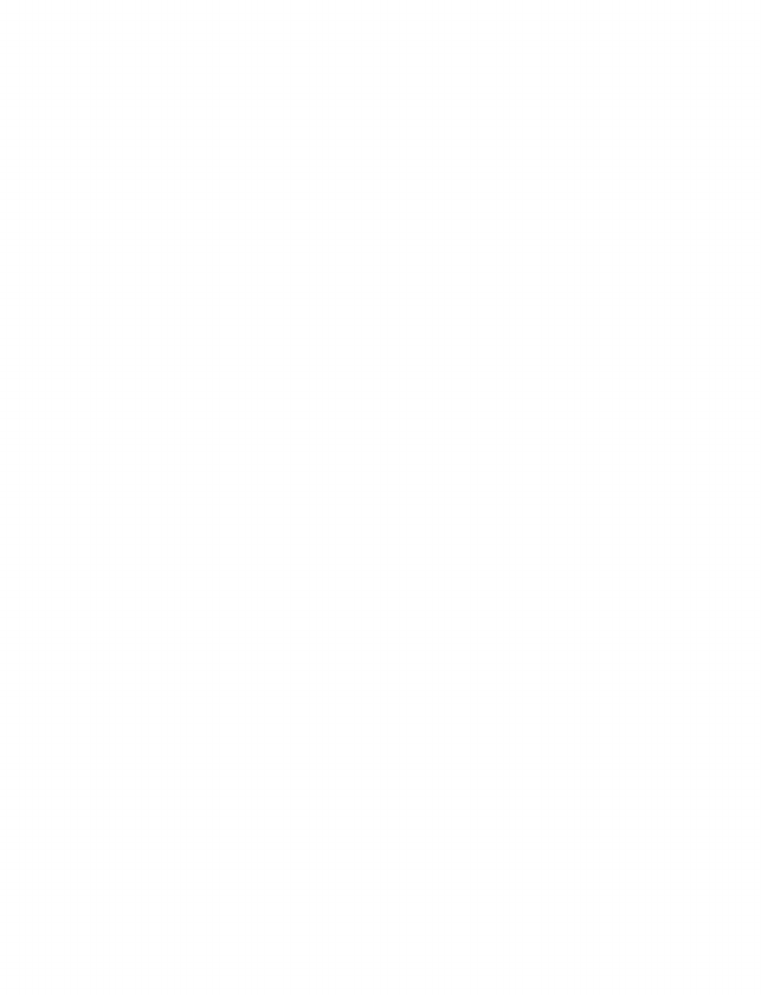proper dosage, fetal exposure to the hormone does not appear to cause adverse effects. A deficiency of thyroid hormone secretion, for example, as a result of untreated hypothyroidism, can cause a congenital condition called cretinism which is characterized by "arrested physical and mental development, dystrophy of bones and soft parts."9

#### Asthma Medications

Some asthmatic individuals use bronchodilators to relieve their attacks. Bronchodilators, such as Aminophylline (Aminodur), relax and widen narrowed air passages of the lungs, making it easier to breath.

Although asthma medications are not believed to be harmful to a developing fetus, they have not been proven to be safe either. Currently, the medical community feels that the potential benefit of controlling asthma attacks during pregnancy outweighs the risk of uncontrolled asthmatic episodes. If breastfeeding, it is recommended that a mother nurse her baby before taking the asthma drug, in order to reduce exposure to high concentrations of the medication. Any asthma medications containing iodides should also be avoided. (As mentioned earlier iodides can have adverse effects on the thyroid gland.)

## **Tranquilizers**

Thalidomide is a sedative and hypnotic agent which was widely prescribed to pregnant women in Europe during the early 1960's. It was later discovered to be a teratogen. Thousands of women who took thalidomide during pregnancy gave birth to severely deformed children. The malformations associated with the drug include limb abnormalities (such as phocomelia, amelia, Polydactyly, and syndactyly); facial hemangiomas; hydrocephalus, intestinal, cardiovascular and renal anomalies; and eye and ear defects.

<sup>9</sup>Moore, 136.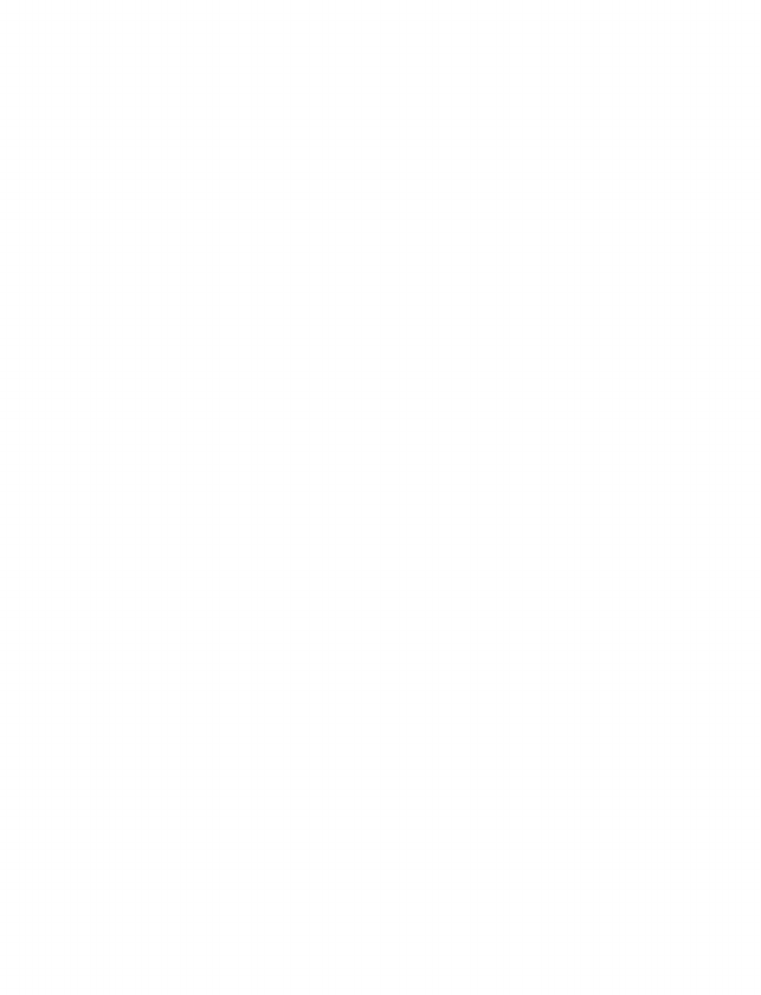Although thalidomide is a known teratogen, the FDA has recently proposed to allow restricted use of the drug in order to treat specific conditions, including leprosy, lupus, and AIDS-related ulcers.

In addition to numerous prescription medications, there are many non-prescription or overthe-counter drugs found in drugstores and supermarkets. Some of the pills and syrups used to relieve common aches and pains, such as colds, allergies, sore throats, and headaches are potentially harmful to an unborn child. It is extremely important that women who are planning to become pregnant or are pregnant consult their doctor before taking even commonly used pain relievers and decongestants. If it becomes necessary to treat ailments during pregnancy, a doctor will know which drugs on the market are safest for the baby. Certain medications are known to pose less of a risk to a fetus than others.

#### Analgesics

Aspirin, a commonly used bloodthinner, painkiller, and antipyretic, is not teratogenic if taken in normal therapeutic doses. However, maternal use of aspirin (for example: Bufferin, Anacin, Emperin) and aspirin-containing medications, near the end of pregnancy can interfere with the body' s clotting mechanism and cause maternal and neonatal bleeding. It can also prolong pregnancy and delivery, as well as cause the baby to have a low birth weight. There have been reports that aspirin and another analgesic, Ibuprofen, are both associated with premature closure of the fetal ductus arteriosis. Long-term or heavy use of Aspirin during pregnancy should be avoided.

Acetaminophen (Tylenol), when taken in the proper doses, is the analgesic of choice during pregnancy.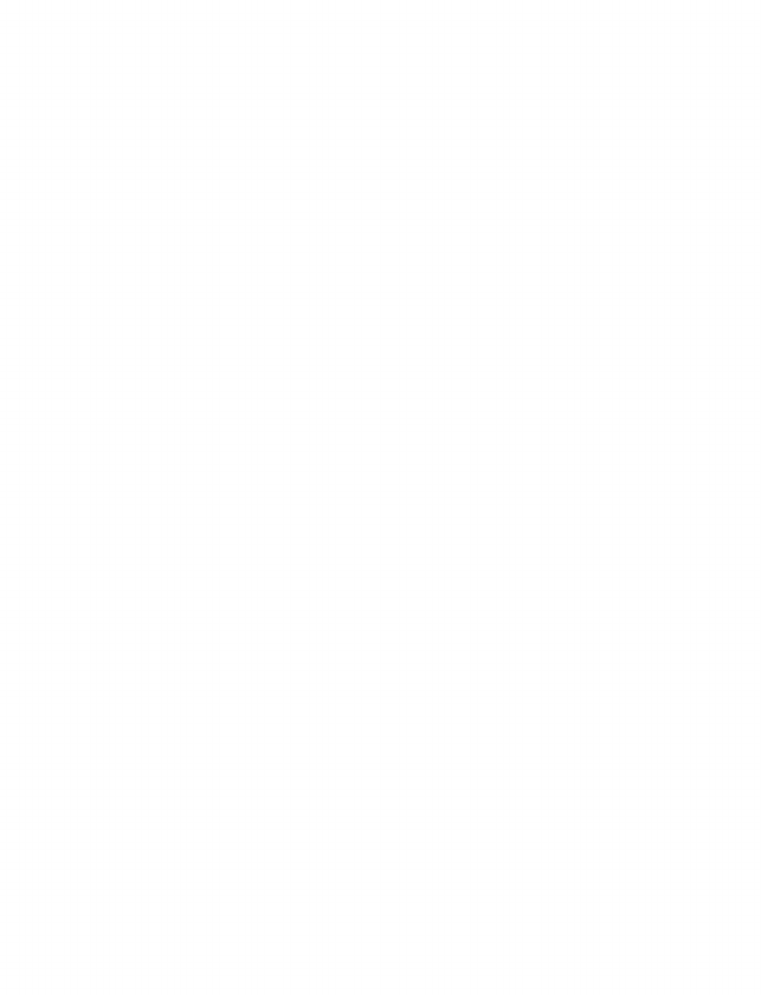#### Antihistamines

Antihistamines are used to relieve symptoms of congestion caused by allergies or the common cold. There are many types of antihistamines on the market. So far, antihistamines have not been associated with congenital abnormalities in humans. However, this does not mean that they are safe to take during pregnancy. Additional research is necessary in this area

#### Cold Medications

Many cold medications (including Robitussin, Sucrets, Vicks ) can contain antihistamines, aspirin, caffeine, iodides, and alcohol. Antitussives (cough suppressants) often contain codeine, which is derived from opium, and many expectorants contain iodides. Therefore it is recommended that the use of cold medication be avoided during pregnancy.

The "thalidomide tragedy" sparked a new interest in teratology, "the study of environmentally-induced congenital anomalies."<sup>10</sup> Researchers began testing the safety of a variety of agents, especially prescription and over-the-counter medications, and the affect these agents may have on a developing fetus. Animal studies, as well as controlled studies in humans, are used to determine the safety of new drugs before they are marketed. While, not every drug that is teratogenic in animals is teratogenic in humans, animal studies help identify the possible harmful effects different drugs may have on humans. In human studies, men make up the majority of the participants, so there is less data on the effects of many new drugs on women. And, since drug testing is virtually never done on pregnant women, the effects of most new drugs on an embryo/fetus are not known before marketing a new product. This uncertainty of risk potential can make prescribing medication difficult for many physicians.

<sup>&</sup>lt;sup>10</sup> Seaver, 111.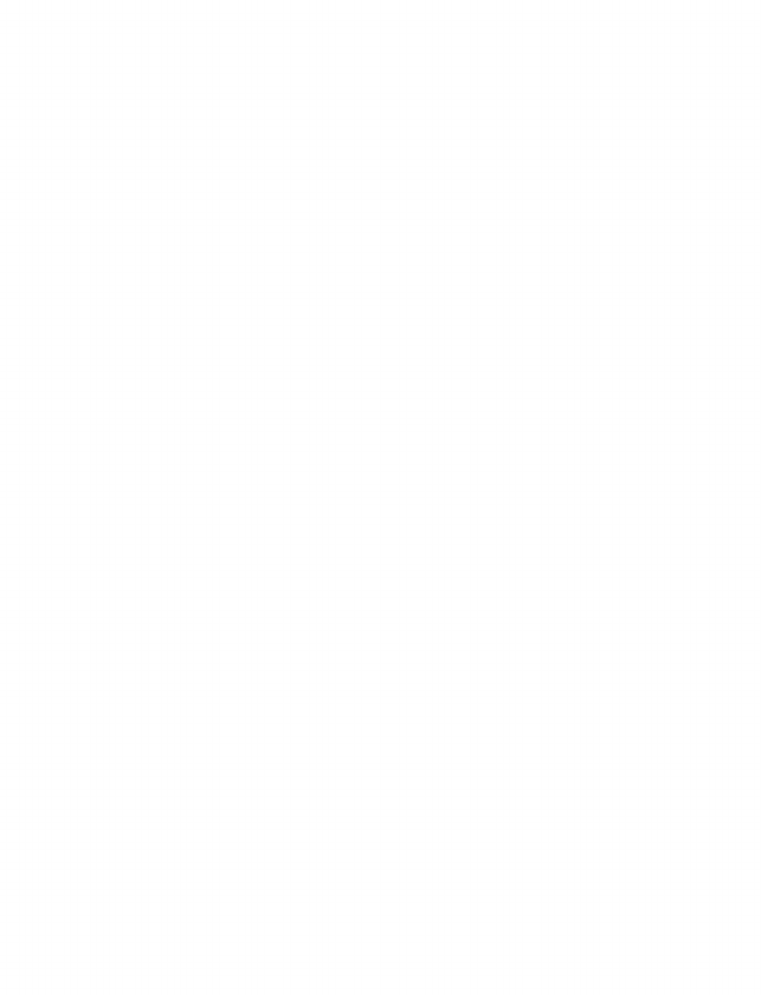In an effort to advise physicians about the teratogenicity associated with different drugs, The Food and Drug Administration began requiring that all prescription drugs be classified according to the level of risk they can have on an embryo/fetus. (Categories include A, B, C, D, and X.) For example, category A indicates no known risk to a fetus. Category C drugs should only be used during pregnancy if the "potential benefit justifies the potential risk to the fetus."<sup>11</sup> Category X marks evidence of fetal risk, therefore drugs in this category should not be used by women who are or may become pregnant. Despite the FDA' s requirement of risk categories for drugs, as mentioned earlier, the risk potential of most prescription drugs has not been established, so there are many drugs on the market classified as category C, the "limbo" category.

The FDA also encourages the consumer to be advised of potential risks associated with drug products. They require information to be printed on product labels. This information discloses any suspected or confirmed fetal risks associated with each particular product. As a result, consumers can make more informed decisions regarding the products they use. Although it is important to read the product labels, it is always advised that a woman who is pregnant or is planning to become pregnant inform her doctor of any and all drugs she is taking.

Additional research in the field of teratology is necessary, especially long-term studies which would reveal the harmful effects of drugs on brain development and behavior rather than just the more apparent structural anomalies. In addition, the education of physicians, nurses, public health authorities, and parents about teratogens is essential in decreasing the incidence of drug-induced birth defects. Also, because many babies are born to teen mothers, information on known and suspected teratogens should be disseminated in school sex education curriculums. Ideally, a woman should leam about potentially dangerous substances before she becomes pregnant. This would allow her time to, for example, consult

 $<sup>11</sup>$  Kuller, 74.</sup>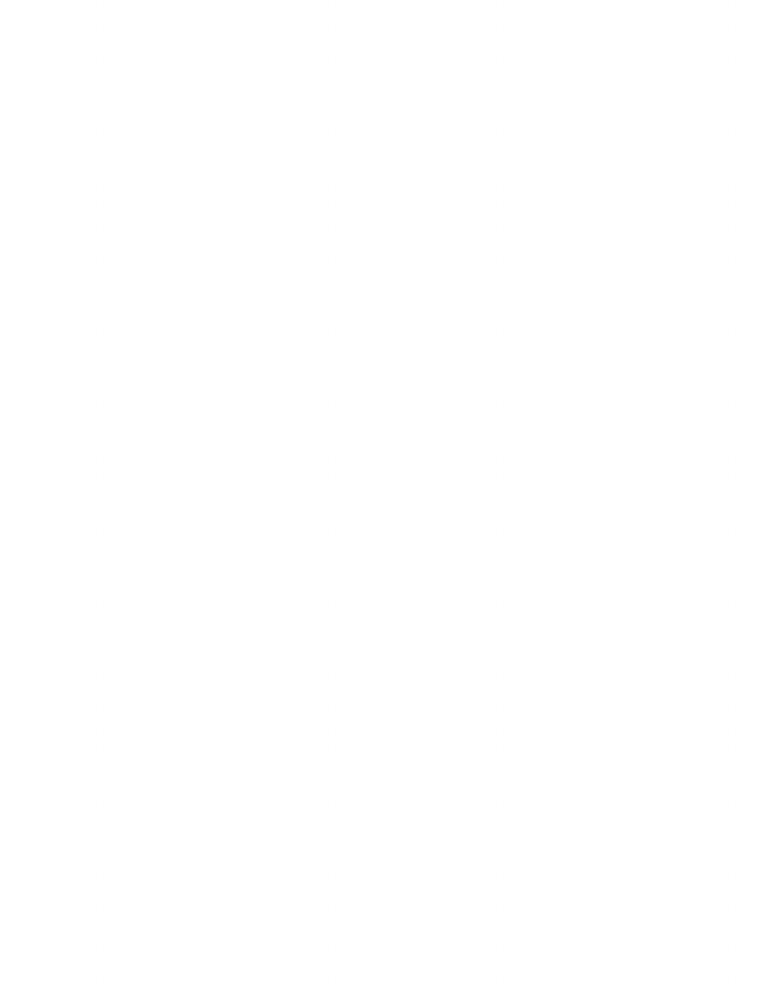with her physician and change her current medication, fight an addiction to alcohol, cigarettes, or narcotics, or just improve her nutritional habits before conception. Awareness is the key to eliminating the majority of preventable birth-defects.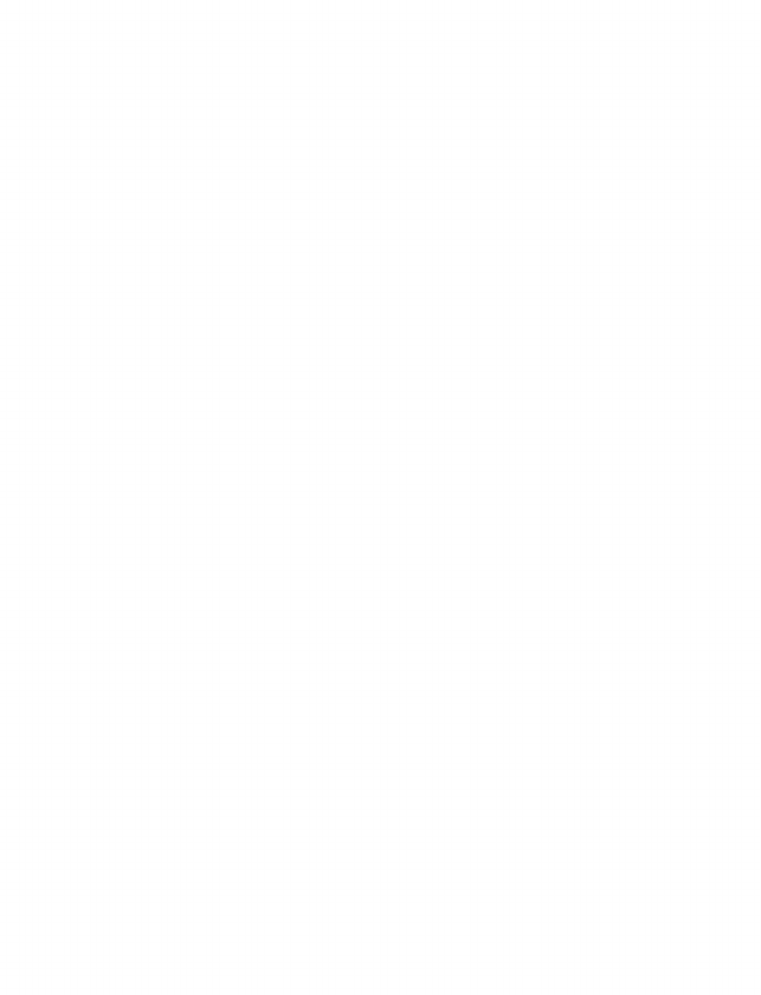- Blume, Sheila B. What You Can Do to Prevent Fetal Alcohol Syndrome. Minnesota: Johnson Institute-QVS, Inc., 1992.
- Brent, Robert L. and David A. Beckman. The Contribution of Environmental Teratogens to Embryonic and Fetal Loss. Clinical Obstetrics and Gynecology 37, no. 3 (September 1994): 646-670.
- Chornitz, Virginia R, Lilian W.Y. Cheung, and Ellice Lieberman. The Role of Lifestyle in Preventing Low Birth Weight. The Future of Children 5, no. 1 (Spring 1995): 121-133.
- Conover, Elizabeth. Hazardous Exposures During Pregnancy. Journal of Obstetric, Gynecologic, and Neonatal Nursing 23, no. 6 (July/August 1994): 524-532.
- Cook, Paddy S., Robert C. Peterson, Dorothy T. Moore. Alcohol Tobacco and Other Drugs May Harm the Unborn. Maryland: US Department of Health and Human Services, 1990.
- Hawksley, Jane. Teen Guide to Pregnancy, Drugs and Smoking. New York: Franklin Watts, 1989.
- Koren, Gideon, Anne Pastuszak, and Shinya Ito. Drugs in Pregnancy. The New England Journal of Medicine 338, no. 16 (April, 1998): 1128-1137.
- Kuller, Joanne McManus. Effects on the Fetus and Newborn of Medications Commonly Used During Pregnancy. Journal of Perinatal and Neonatal Nursing 3, no. 4 (April 1990): 73-87.
- Lin, Chin-Chu, and Mark I. Evans. Intrauterine Growth Retardation: Pathophysiology and Clinical Management. New York: Mc Graw-Hill Book Company, 1984.
- Moore, Keith L., and T.V.N. Persaud. Before We Are Born: Essentials of Embryology and Birth Defects. Philadelphia: W.B. Saunders Company, 1993.
- Ornoy, Asher, and Judy Amon. Clinical Teratology. The Western Journal of Medicine 159, no. 3 (September 1993): 382-389.

Persaud, T.V.N., A.E. Chudley, and R.G. Skalko. Basic Concepts in Teratology. New York: Alan R. Liss, Inc., 1985.

Peters, Paul W. J., Hanneke M. Gabris-Berkvens, and John G. Bannigan. Drugs of Choice in Pregnancy: Primary Prevention of Birth Defects. Reproductive Toxicology 7, no. 5 (September/October 1993): 399-404.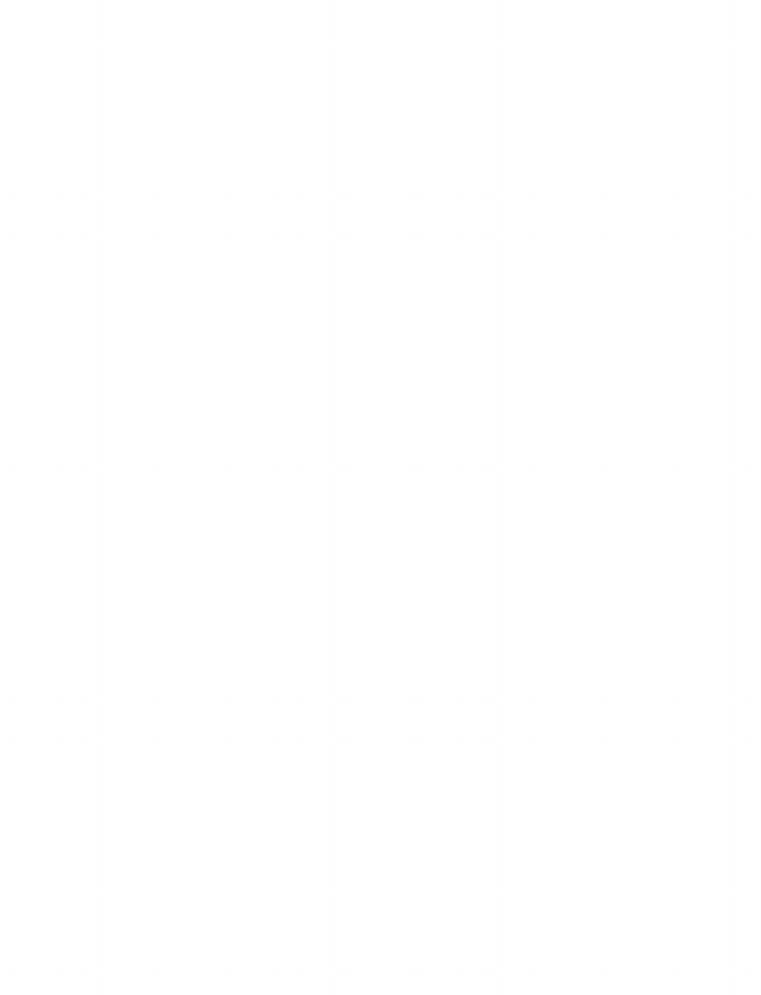- Pletsch, Pamela. Birth Defect Prevention: Nursing Intervention. Journal of Obstetric, Gynecologic, and Neonatal Nursing 16, no. 6 (December 1990): 482-488.
- Schatz, Michael, Robert S. Zeiger, Kathy Harden, Clement C. Hoffman, Linda Chilingar, and Diana Petitti. The Safety of Asthma and Allergy Medications During Pregnancy. Journal of Allergy and Clinical Immunology 100, no. 3 (September 1997): 301-306.
- Schneider, Phyllis. Folic Acid: Why It's Being Added to Food. Parents 73, no. 1 (January 1998): 51.
- Seaver, Laurie H. and H. Eugene Hoyme. Teratology in Pediatric Practice. The Pediatric Clinics of North America 39, no. 1 (February 1992): 111-131.
- Shniderman, Nancy, and Sue Hurwitz. Drugs and Birth Defects. New York: The Rosen Publishing Group, Inc., 1995.
- Stem, Leo, ed. Drug Use in Pregnancy. Sydney: ADIS Health Science Press, 1984.
- Thalidomide's Return. Maclean's 110, no. 37, (September 1997): 73.
- Thomas, Clayton L., ed. Taber's Cyclopedic Medical Dictionary, 15th ed. Philadelphia: F.A. Davis Company, 1985.
- Update '97. Mayo Clinic Health Letter 15, no. 4, (April 1997): 4.
- Young, Patrick. Drugs and Pregnancy. New York: Chelsea House Publishers, 1987.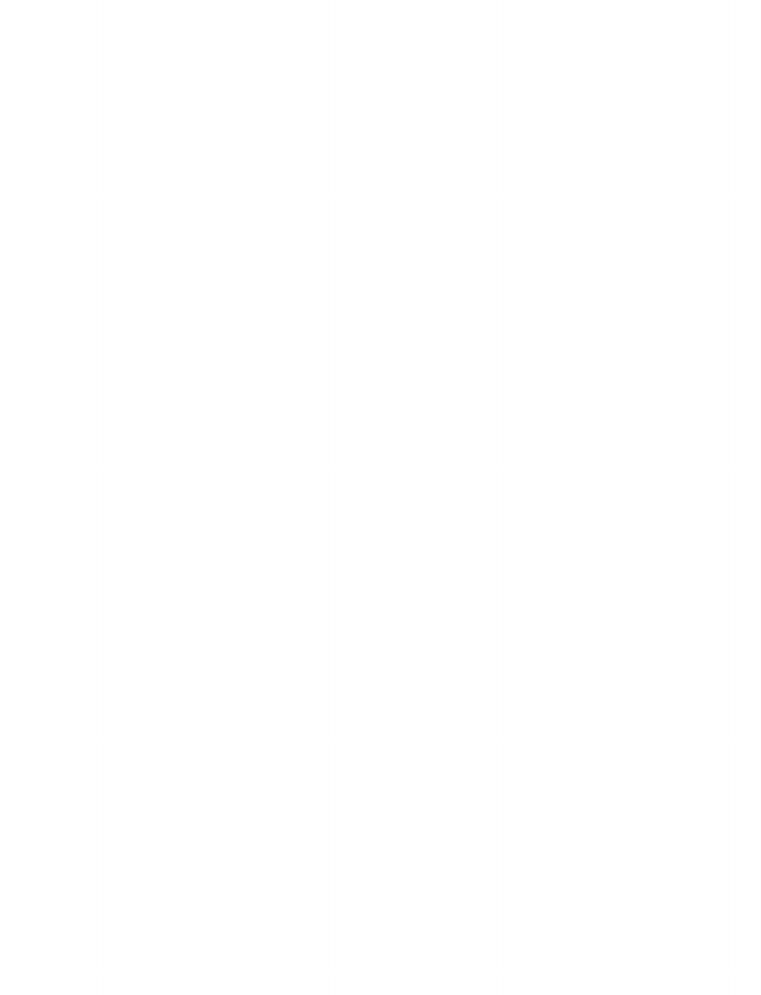### CHAPTER FOUR

In an effort to increase public awareness about the harmful effects of drugs and to encourage responsible behavior during pregnancy, <sup>I</sup> have created this pamphlet for distribution to women's healthcare clinics around the country.

The illustrations throughout the pamphlet are designed to entice a patient to read the text and to try to understand why it is important to practice a healthy lifestyle during pregnancy. By using simple, straightforward descriptions of some of the harmful effects drugs can have on a fetus the information should be easily understandable to all women regardless of their educational level. In areas where other languages, such as Spanish may be the dominant language, a translated version could be distributed.

A variety of sources were used to create the illustrations within the pamphlet. The series of embryos and fetuses representing the nine month gestational period were drawn from a number of photographic and illustrative sources. A combination of three or four images were sometimes used to create one of the embryo/fetus illustrations. In the case of the fifth and seventh month fetuses, <sup>I</sup> used my sketches and photographs of two preserved babies at the University of Rochester as sources. The drawing of a woman drinking with a cigarette in hand was created by using photographs of my mother, posed with a glass of wine and a cigarette. Photographs found in magazines from a local library as well as photographs <sup>I</sup> had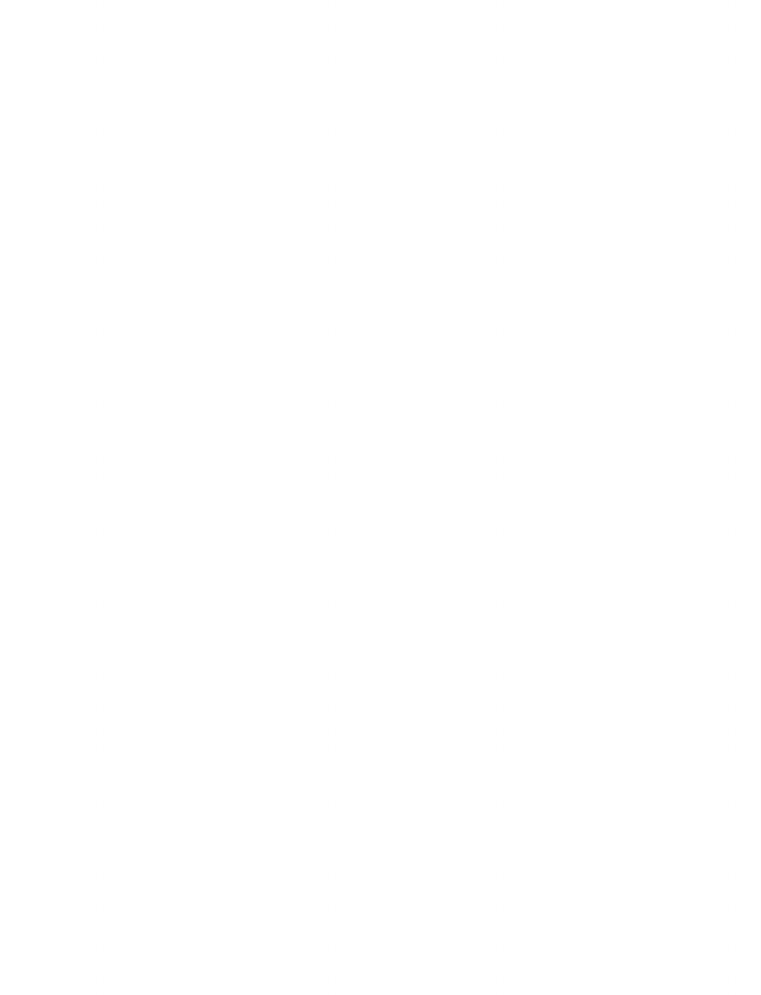taken of my mother' <sup>s</sup> hands served as sources for the image of the mother breastfeeding her child. The sources for the doctor and expectant mother were pictures from three or four different magazines and my own imagination. Magazine and catalogue photographs were used as sources for the image of a newborn in an incubator. Textbook photographs were used for the drawing of the mother holding her sleeping child. A number of illustrations were used as sources for the drawings depicting follicular development, ovulation, fertilization, cell division, and implantation and a model was used for the drawing of the female pelvis. The sources for the placenta, umbilical cord, and developing baby were multiple illustrations of the placenta, textbook photographs of umbilical cords and my imagination. <sup>I</sup> sketched cough syrup, pill bottles, glasses containing alcohol, and a pack of cigarettes, and <sup>I</sup> used other magazine photographs as sources for the images of illicit drugs.

All illustrations were created in graphite pencil on paper, scanned into the computer and brought into Adobe Photoshop 5.0. Each image was then turned into an RGB file, and transformed into sepia tone. ( The option for choosing sepia toning is found in the Actions window. ) After changing the color of the images, all images were flattened and then "cleaned up", by eliminating any unwanted "background" pixels and by "airbrushing" any harsh lines of the drawings into a fade with the use of the eraser tool at a low opacity. After the desired editing, all files were saved in the Photoshop format, in which multiple layers can be preserved, and then in the TIFF format which can be placed into the layout program QuarkXPress 3.2.

I placed the images in an order which would tell a story as one turns the pages. Each of the nine months of development is represented by <sup>a</sup> drawing. The baby' s growth progresses throughout the pamphlet. The doctor and patient drawing is placed next to images of the first two trimesters to reinforce the importance of receiving prenatal care in the early stages of pregnancy. The drawings of drug and alcohol abuse follow the illustration and